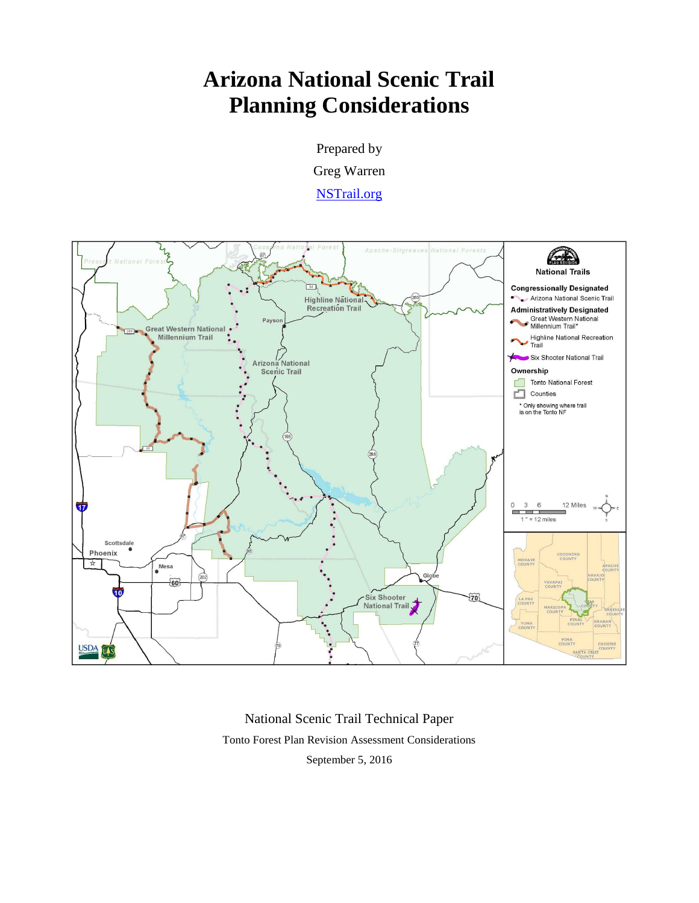# **Arizona National Scenic Trail Planning Considerations**

Prepared by Greg Warren [NSTrail.org](http://www.nstrail.org/)



National Scenic Trail Technical Paper Tonto Forest Plan Revision Assessment Considerations September 5, 2016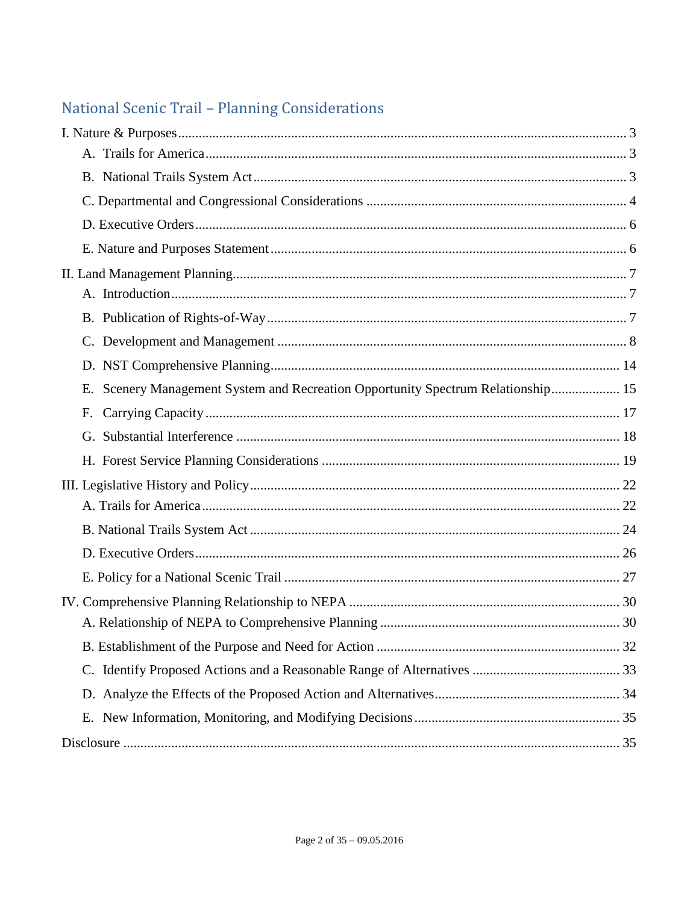# National Scenic Trail - Planning Considerations

| Scenery Management System and Recreation Opportunity Spectrum Relationship 15<br>Е. |  |
|-------------------------------------------------------------------------------------|--|
| F.                                                                                  |  |
|                                                                                     |  |
|                                                                                     |  |
|                                                                                     |  |
|                                                                                     |  |
|                                                                                     |  |
|                                                                                     |  |
|                                                                                     |  |
|                                                                                     |  |
|                                                                                     |  |
|                                                                                     |  |
|                                                                                     |  |
|                                                                                     |  |
|                                                                                     |  |
|                                                                                     |  |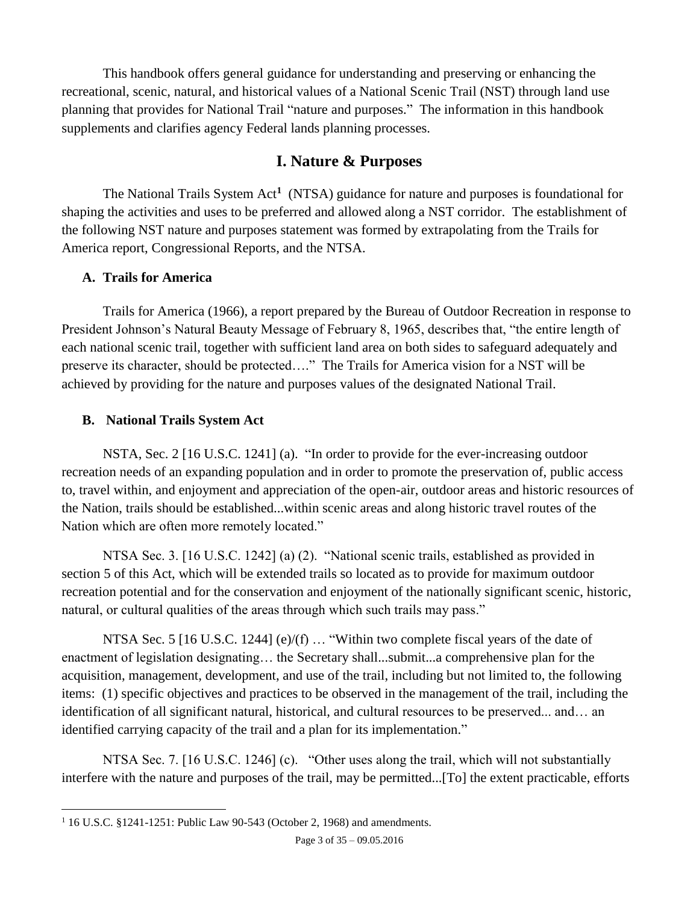This handbook offers general guidance for understanding and preserving or enhancing the recreational, scenic, natural, and historical values of a National Scenic Trail (NST) through land use planning that provides for National Trail "nature and purposes." The information in this handbook supplements and clarifies agency Federal lands planning processes.

## <span id="page-2-3"></span>**I. Nature & Purposes**

<span id="page-2-0"></span>The National Trails System Act**<sup>1</sup>** (NTSA) guidance for nature and purposes is foundational for shaping the activities and uses to be preferred and allowed along a NST corridor. The establishment of the following NST nature and purposes statement was formed by extrapolating from the Trails for America report, Congressional Reports, and the NTSA.

## <span id="page-2-1"></span>**A. Trails for America**

Trails for America (1966), a report prepared by the Bureau of Outdoor Recreation in response to President Johnson's Natural Beauty Message of February 8, 1965, describes that, "the entire length of each national scenic trail, together with sufficient land area on both sides to safeguard adequately and preserve its character, should be protected…." The Trails for America vision for a NST will be achieved by providing for the nature and purposes values of the designated National Trail.

## <span id="page-2-2"></span>**B. National Trails System Act**

NSTA, Sec. 2 [16 U.S.C. 1241] (a). "In order to provide for the ever-increasing outdoor recreation needs of an expanding population and in order to promote the preservation of, public access to, travel within, and enjoyment and appreciation of the open-air, outdoor areas and historic resources of the Nation, trails should be established...within scenic areas and along historic travel routes of the Nation which are often more remotely located."

NTSA Sec. 3. [16 U.S.C. 1242] (a) (2). "National scenic trails, established as provided in section 5 of this Act, which will be extended trails so located as to provide for maximum outdoor recreation potential and for the conservation and enjoyment of the nationally significant scenic, historic, natural, or cultural qualities of the areas through which such trails may pass."

NTSA Sec. 5 [16 U.S.C. 1244] (e)/(f) ... "Within two complete fiscal years of the date of enactment of legislation designating… the Secretary shall...submit...a comprehensive plan for the acquisition, management, development, and use of the trail, including but not limited to, the following items: (1) specific objectives and practices to be observed in the management of the trail, including the identification of all significant natural, historical, and cultural resources to be preserved... and… an identified carrying capacity of the trail and a plan for its implementation."

NTSA Sec. 7. [16 U.S.C. 1246] (c). "Other uses along the trail, which will not substantially interfere with the nature and purposes of the trail, may be permitted...[To] the extent practicable, efforts

 $\overline{a}$ <sup>1</sup> 16 U.S.C. §1241-1251: Public Law 90-543 (October 2, 1968) and amendments.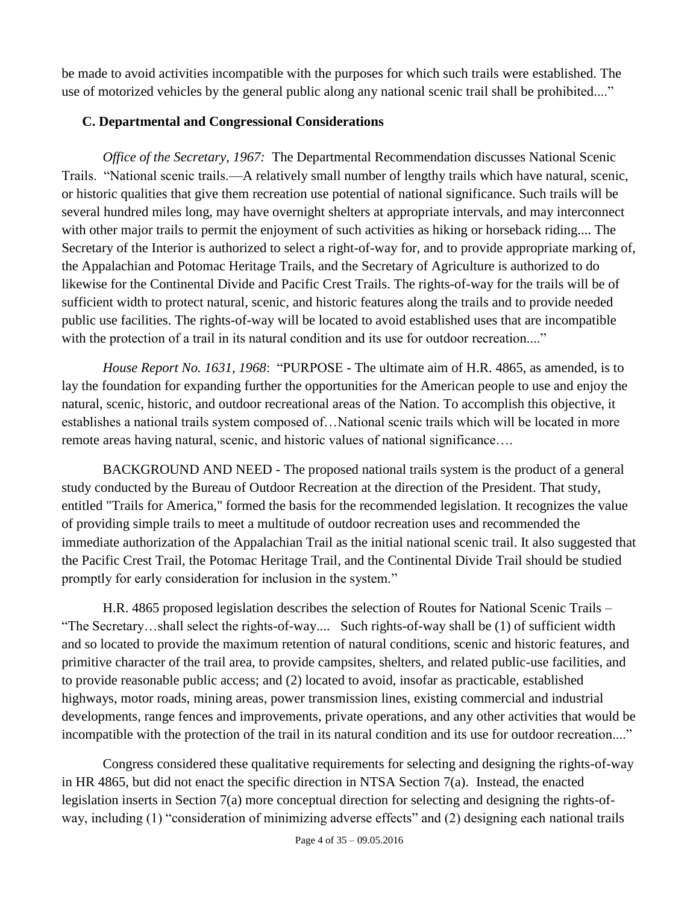be made to avoid activities incompatible with the purposes for which such trails were established. The use of motorized vehicles by the general public along any national scenic trail shall be prohibited...."

## <span id="page-3-0"></span>**C. Departmental and Congressional Considerations**

*Office of the Secretary, 1967:* The Departmental Recommendation discusses National Scenic Trails. "National scenic trails.—A relatively small number of lengthy trails which have natural, scenic, or historic qualities that give them recreation use potential of national significance. Such trails will be several hundred miles long, may have overnight shelters at appropriate intervals, and may interconnect with other major trails to permit the enjoyment of such activities as hiking or horseback riding.... The Secretary of the Interior is authorized to select a right-of-way for, and to provide appropriate marking of, the Appalachian and Potomac Heritage Trails, and the Secretary of Agriculture is authorized to do likewise for the Continental Divide and Pacific Crest Trails. The rights-of-way for the trails will be of sufficient width to protect natural, scenic, and historic features along the trails and to provide needed public use facilities. The rights-of-way will be located to avoid established uses that are incompatible with the protection of a trail in its natural condition and its use for outdoor recreation...."

*House Report No. 1631, 1968*: "PURPOSE - The ultimate aim of H.R. 4865, as amended, is to lay the foundation for expanding further the opportunities for the American people to use and enjoy the natural, scenic, historic, and outdoor recreational areas of the Nation. To accomplish this objective, it establishes a national trails system composed of…National scenic trails which will be located in more remote areas having natural, scenic, and historic values of national significance….

BACKGROUND AND NEED - The proposed national trails system is the product of a general study conducted by the Bureau of Outdoor Recreation at the direction of the President. That study, entitled "Trails for America," formed the basis for the recommended legislation. It recognizes the value of providing simple trails to meet a multitude of outdoor recreation uses and recommended the immediate authorization of the Appalachian Trail as the initial national scenic trail. It also suggested that the Pacific Crest Trail, the Potomac Heritage Trail, and the Continental Divide Trail should be studied promptly for early consideration for inclusion in the system."

H.R. 4865 proposed legislation describes the *s*election of Routes for National Scenic Trails – "The Secretary…shall select the rights-of-way.... Such rights-of-way shall be (1) of sufficient width and so located to provide the maximum retention of natural conditions, scenic and historic features, and primitive character of the trail area, to provide campsites, shelters, and related public-use facilities, and to provide reasonable public access; and (2) located to avoid, insofar as practicable, established highways, motor roads, mining areas, power transmission lines, existing commercial and industrial developments, range fences and improvements, private operations, and any other activities that would be incompatible with the protection of the trail in its natural condition and its use for outdoor recreation...."

Congress considered these qualitative requirements for selecting and designing the rights-of-way in HR 4865, but did not enact the specific direction in NTSA Section 7(a). Instead, the enacted legislation inserts in Section 7(a) more conceptual direction for selecting and designing the rights-ofway, including (1) "consideration of minimizing adverse effects" and (2) designing each national trails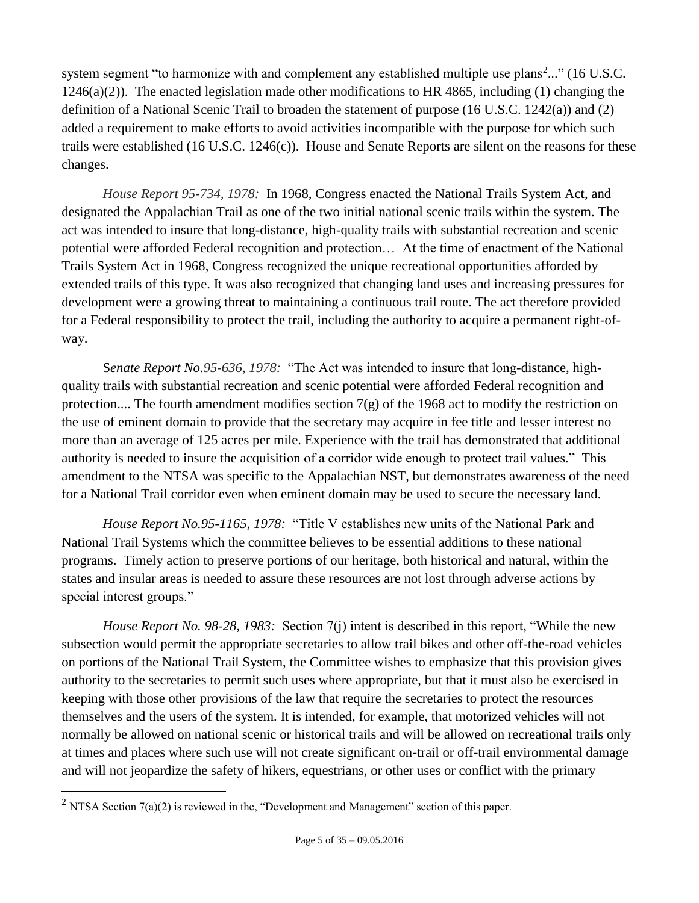system segment "to harmonize with and complement any established multiple use plans<sup>2</sup>..." (16 U.S.C.  $1246(a)(2)$ ). The enacted legislation made other modifications to HR 4865, including (1) changing the definition of a National Scenic Trail to broaden the statement of purpose (16 U.S.C. 1242(a)) and (2) added a requirement to make efforts to avoid activities incompatible with the purpose for which such trails were established (16 U.S.C. 1246(c)). House and Senate Reports are silent on the reasons for these changes.

*House Report 95-734, 1978:* In 1968, Congress enacted the National Trails System Act, and designated the Appalachian Trail as one of the two initial national scenic trails within the system. The act was intended to insure that long-distance, high-quality trails with substantial recreation and scenic potential were afforded Federal recognition and protection… At the time of enactment of the National Trails System Act in 1968, Congress recognized the unique recreational opportunities afforded by extended trails of this type. It was also recognized that changing land uses and increasing pressures for development were a growing threat to maintaining a continuous trail route. The act therefore provided for a Federal responsibility to protect the trail, including the authority to acquire a permanent right-ofway.

S*enate Report No.95-636, 1978:* "The Act was intended to insure that long-distance, highquality trails with substantial recreation and scenic potential were afforded Federal recognition and protection.... The fourth amendment modifies section  $7(g)$  of the 1968 act to modify the restriction on the use of eminent domain to provide that the secretary may acquire in fee title and lesser interest no more than an average of 125 acres per mile. Experience with the trail has demonstrated that additional authority is needed to insure the acquisition of a corridor wide enough to protect trail values." This amendment to the NTSA was specific to the Appalachian NST, but demonstrates awareness of the need for a National Trail corridor even when eminent domain may be used to secure the necessary land.

*House Report No.95-1165, 1978:* "Title V establishes new units of the National Park and National Trail Systems which the committee believes to be essential additions to these national programs. Timely action to preserve portions of our heritage, both historical and natural, within the states and insular areas is needed to assure these resources are not lost through adverse actions by special interest groups."

*House Report No. 98-28, 1983:* Section 7(j) intent is described in this report, "While the new subsection would permit the appropriate secretaries to allow trail bikes and other off-the-road vehicles on portions of the National Trail System, the Committee wishes to emphasize that this provision gives authority to the secretaries to permit such uses where appropriate, but that it must also be exercised in keeping with those other provisions of the law that require the secretaries to protect the resources themselves and the users of the system. It is intended, for example, that motorized vehicles will not normally be allowed on national scenic or historical trails and will be allowed on recreational trails only at times and places where such use will not create significant on-trail or off-trail environmental damage and will not jeopardize the safety of hikers, equestrians, or other uses or conflict with the primary

 $\overline{a}$ 

<sup>&</sup>lt;sup>2</sup> NTSA Section  $7(a)(2)$  is reviewed in the, "Development and Management" section of this paper.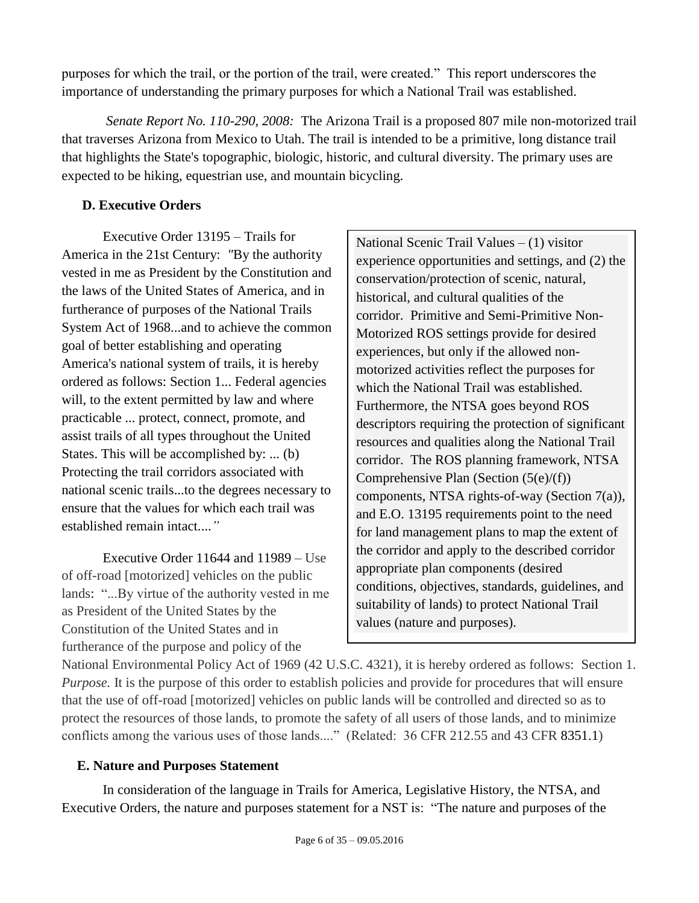purposes for which the trail, or the portion of the trail, were created." This report underscores the importance of understanding the primary purposes for which a National Trail was established.

*Senate Report No. 110-290, 2008:* The Arizona Trail is a proposed 807 mile non-motorized trail that traverses Arizona from Mexico to Utah. The trail is intended to be a primitive, long distance trail that highlights the State's topographic, biologic, historic, and cultural diversity. The primary uses are expected to be hiking, equestrian use, and mountain bicycling.

## <span id="page-5-0"></span>**D. Executive Orders**

Executive Order 13195 – Trails for America in the 21st Century: *"*By the authority vested in me as President by the Constitution and the laws of the United States of America, and in furtherance of purposes of the National Trails System Act of 1968...and to achieve the common goal of better establishing and operating America's national system of trails, it is hereby ordered as follows: Section 1... Federal agencies will, to the extent permitted by law and where practicable ... protect, connect, promote, and assist trails of all types throughout the United States. This will be accomplished by: ... (b) Protecting the trail corridors associated with national scenic trails...to the degrees necessary to ensure that the values for which each trail was established remain intact....*"*

Executive Order 11644 and 11989 – Use of off-road [motorized] vehicles on the public lands: "...By virtue of the authority vested in me as President of the United States by the Constitution of the United States and in furtherance of the purpose and policy of the

National Scenic Trail Values – (1) visitor experience opportunities and settings, and (2) the conservation/protection of scenic, natural, historical, and cultural qualities of the corridor. Primitive and Semi-Primitive Non-Motorized ROS settings provide for desired experiences, but only if the allowed nonmotorized activities reflect the purposes for which the National Trail was established. Furthermore, the NTSA goes beyond ROS descriptors requiring the protection of significant resources and qualities along the National Trail corridor. The ROS planning framework, NTSA Comprehensive Plan (Section (5(e)/(f)) components, NTSA rights-of-way (Section 7(a)), and E.O. 13195 requirements point to the need for land management plans to map the extent of the corridor and apply to the described corridor appropriate plan components (desired conditions, objectives, standards, guidelines, and suitability of lands) to protect National Trail values (nature and purposes).

National Environmental Policy Act of 1969 (42 U.S.C. 4321), it is hereby ordered as follows: Section 1. *Purpose.* It is the purpose of this order to establish policies and provide for procedures that will ensure that the use of off-road [motorized] vehicles on public lands will be controlled and directed so as to protect the resources of those lands, to promote the safety of all users of those lands, and to minimize conflicts among the various uses of those lands...." (Related: 36 CFR 212.55 and 43 CFR 8351.1)

## <span id="page-5-1"></span>**E. Nature and Purposes Statement**

In consideration of the language in Trails for America, Legislative History, the NTSA, and Executive Orders, the nature and purposes statement for a NST is: "The nature and purposes of the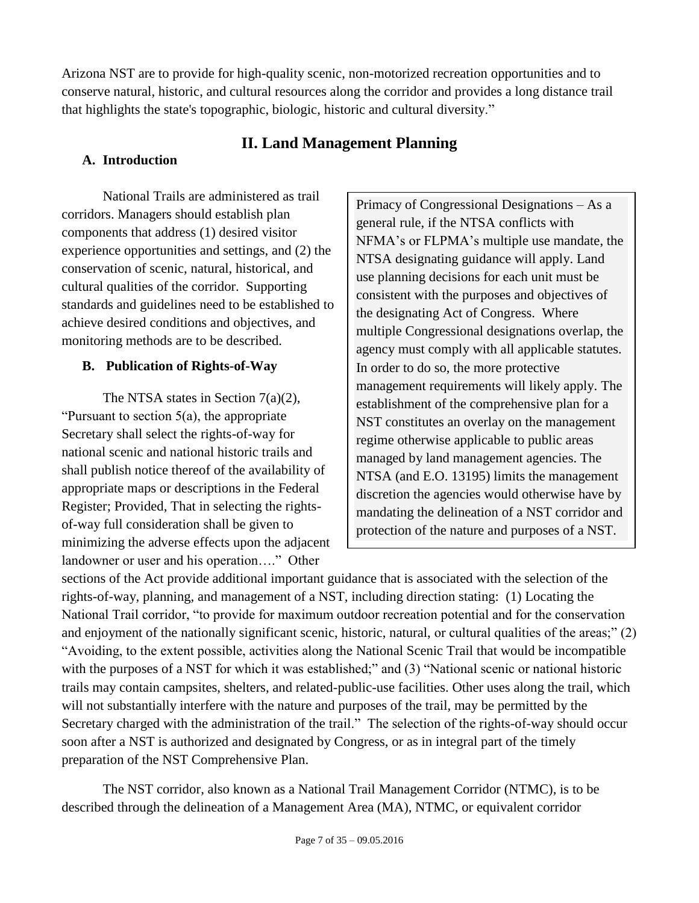Arizona NST are to provide for high-quality scenic, non-motorized recreation opportunities and to conserve natural, historic, and cultural resources along the corridor and provides a long distance trail that highlights the state's topographic, biologic, historic and cultural diversity."

## **II. Land Management Planning**

## <span id="page-6-1"></span><span id="page-6-0"></span>**A. Introduction**

National Trails are administered as trail corridors. Managers should establish plan components that address (1) desired visitor experience opportunities and settings, and (2) the conservation of scenic, natural, historical, and cultural qualities of the corridor. Supporting standards and guidelines need to be established to achieve desired conditions and objectives, and monitoring methods are to be described.

## <span id="page-6-2"></span>**B. Publication of Rights-of-Way**

The NTSA states in Section 7(a)(2), "Pursuant to section 5(a), the appropriate Secretary shall select the rights-of-way for national scenic and national historic trails and shall publish notice thereof of the availability of appropriate maps or descriptions in the Federal Register; Provided, That in selecting the rightsof-way full consideration shall be given to minimizing the adverse effects upon the adjacent landowner or user and his operation…." Other

Primacy of Congressional Designations – As a general rule, if the NTSA conflicts with NFMA's or FLPMA's multiple use mandate, the NTSA designating guidance will apply. Land use planning decisions for each unit must be consistent with the purposes and objectives of the designating Act of Congress. Where multiple Congressional designations overlap, the agency must comply with all applicable statutes. In order to do so, the more protective management requirements will likely apply. The establishment of the comprehensive plan for a NST constitutes an overlay on the management regime otherwise applicable to public areas managed by land management agencies. The NTSA (and E.O. 13195) limits the management discretion the agencies would otherwise have by mandating the delineation of a NST corridor and protection of the nature and purposes of a NST.

sections of the Act provide additional important guidance that is associated with the selection of the rights-of-way, planning, and management of a NST, including direction stating: (1) Locating the National Trail corridor, "to provide for maximum outdoor recreation potential and for the conservation and enjoyment of the nationally significant scenic, historic, natural, or cultural qualities of the areas;" (2) "Avoiding, to the extent possible, activities along the National Scenic Trail that would be incompatible with the purposes of a NST for which it was established;" and (3) "National scenic or national historic trails may contain campsites, shelters, and related-public-use facilities. Other uses along the trail, which will not substantially interfere with the nature and purposes of the trail, may be permitted by the Secretary charged with the administration of the trail." The selection of the rights-of-way should occur soon after a NST is authorized and designated by Congress, or as in integral part of the timely preparation of the NST Comprehensive Plan.

The NST corridor, also known as a National Trail Management Corridor (NTMC), is to be described through the delineation of a Management Area (MA), NTMC, or equivalent corridor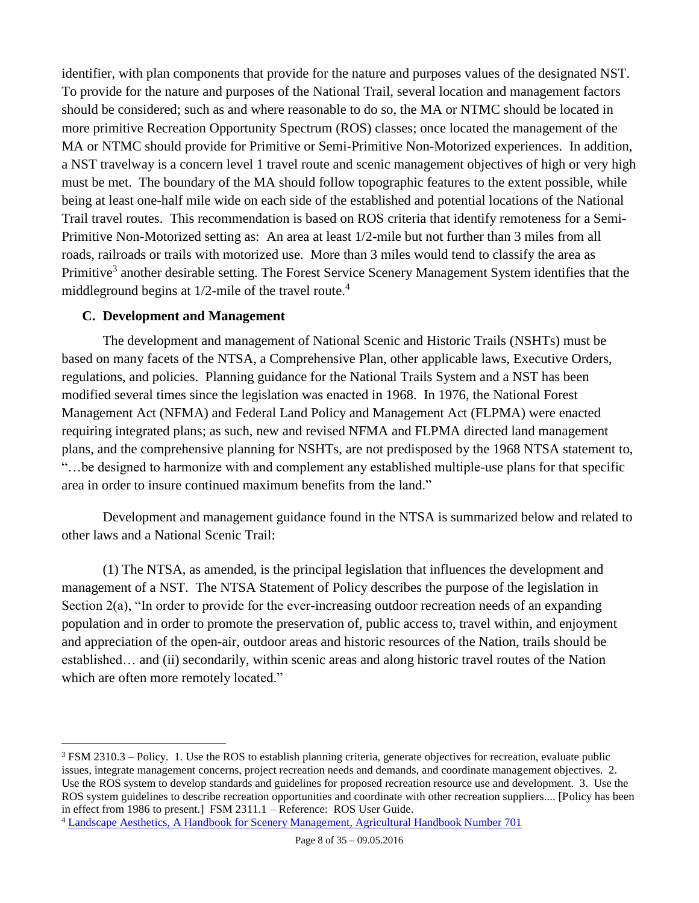identifier, with plan components that provide for the nature and purposes values of the designated NST. To provide for the nature and purposes of the National Trail, several location and management factors should be considered; such as and where reasonable to do so, the MA or NTMC should be located in more primitive Recreation Opportunity Spectrum (ROS) classes; once located the management of the MA or NTMC should provide for Primitive or Semi-Primitive Non-Motorized experiences. In addition, a NST travelway is a concern level 1 travel route and scenic management objectives of high or very high must be met. The boundary of the MA should follow topographic features to the extent possible, while being at least one-half mile wide on each side of the established and potential locations of the National Trail travel routes. This recommendation is based on ROS criteria that identify remoteness for a Semi-Primitive Non-Motorized setting as: An area at least 1/2-mile but not further than 3 miles from all roads, railroads or trails with motorized use. More than 3 miles would tend to classify the area as Primitive<sup>3</sup> another desirable setting. The Forest Service Scenery Management System identifies that the middleground begins at  $1/2$ -mile of the travel route.<sup>4</sup>

#### <span id="page-7-0"></span>**C. Development and Management**

 $\overline{a}$ 

The development and management of National Scenic and Historic Trails (NSHTs) must be based on many facets of the NTSA, a Comprehensive Plan, other applicable laws, Executive Orders, regulations, and policies. Planning guidance for the National Trails System and a NST has been modified several times since the legislation was enacted in 1968. In 1976, the National Forest Management Act (NFMA) and Federal Land Policy and Management Act (FLPMA) were enacted requiring integrated plans; as such, new and revised NFMA and FLPMA directed land management plans, and the comprehensive planning for NSHTs, are not predisposed by the 1968 NTSA statement to, "…be designed to harmonize with and complement any established multiple-use plans for that specific area in order to insure continued maximum benefits from the land."

Development and management guidance found in the NTSA is summarized below and related to other laws and a National Scenic Trail:

(1) The NTSA, as amended, is the principal legislation that influences the development and management of a NST. The NTSA Statement of Policy describes the purpose of the legislation in Section 2(a), "In order to provide for the ever-increasing outdoor recreation needs of an expanding population and in order to promote the preservation of, public access to, travel within, and enjoyment and appreciation of the open-air, outdoor areas and historic resources of the Nation, trails should be established… and (ii) secondarily, within scenic areas and along historic travel routes of the Nation which are often more remotely located."

<sup>3</sup> FSM 2310.3 – Policy. 1. Use the ROS to establish planning criteria, generate objectives for recreation, evaluate public issues, integrate management concerns, project recreation needs and demands, and coordinate management objectives. 2. Use the ROS system to develop standards and guidelines for proposed recreation resource use and development. 3. Use the ROS system guidelines to describe recreation opportunities and coordinate with other recreation suppliers.... [Policy has been in effect from 1986 to present.] FSM 2311.1 – Reference: [ROS User Guide.](http://www.fs.fed.us/cdt/carrying_capacity/rosguide_1982.pdf)

<sup>4</sup> [Landscape Aesthetics, A Handbook for Scenery Management, Agricultural Handbook Number 701](http://www.fs.fed.us/cdt/carrying_capacity/landscape_aesthetics_handbook_701_no_append.pdf)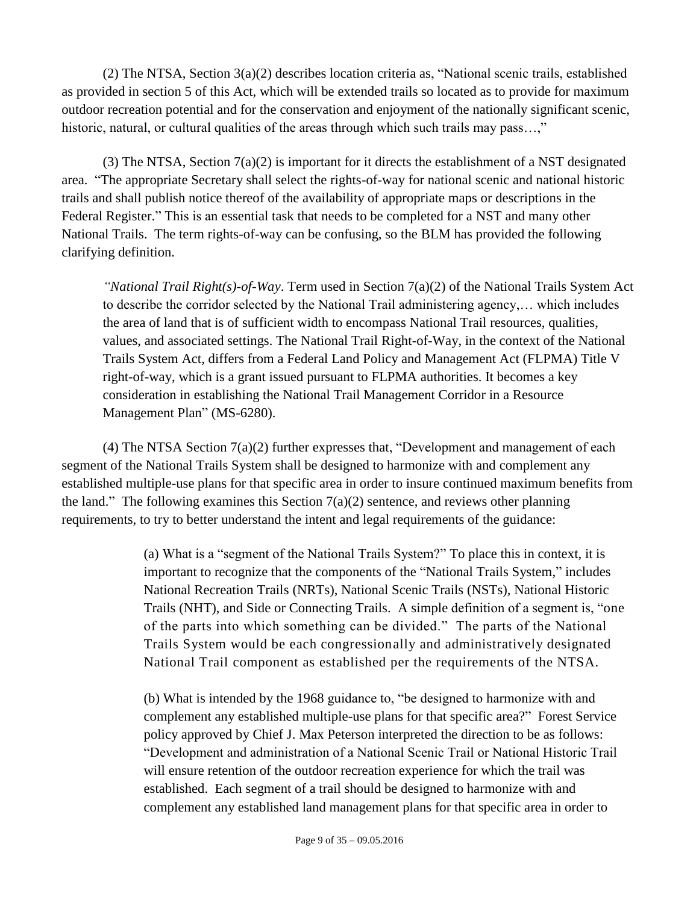(2) The NTSA, Section 3(a)(2) describes location criteria as, "National scenic trails, established as provided in section 5 of this Act, which will be extended trails so located as to provide for maximum outdoor recreation potential and for the conservation and enjoyment of the nationally significant scenic, historic, natural, or cultural qualities of the areas through which such trails may pass...,"

(3) The NTSA, Section  $7(a)(2)$  is important for it directs the establishment of a NST designated area. "The appropriate Secretary shall select the rights-of-way for national scenic and national historic trails and shall publish notice thereof of the availability of appropriate maps or descriptions in the Federal Register." This is an essential task that needs to be completed for a NST and many other National Trails. The term rights-of-way can be confusing, so the BLM has provided the following clarifying definition.

*"National Trail Right(s)-of-Way*. Term used in Section 7(a)(2) of the National Trails System Act to describe the corridor selected by the National Trail administering agency,… which includes the area of land that is of sufficient width to encompass National Trail resources, qualities, values, and associated settings. The National Trail Right-of-Way, in the context of the National Trails System Act, differs from a Federal Land Policy and Management Act (FLPMA) Title V right-of-way, which is a grant issued pursuant to FLPMA authorities. It becomes a key consideration in establishing the National Trail Management Corridor in a Resource Management Plan" (MS-6280).

(4) The NTSA Section 7(a)(2) further expresses that, "Development and management of each segment of the National Trails System shall be designed to harmonize with and complement any established multiple-use plans for that specific area in order to insure continued maximum benefits from the land." The following examines this Section  $7(a)(2)$  sentence, and reviews other planning requirements, to try to better understand the intent and legal requirements of the guidance:

> (a) What is a "segment of the National Trails System?" To place this in context, it is important to recognize that the components of the "National Trails System," includes National Recreation Trails (NRTs), National Scenic Trails (NSTs), National Historic Trails (NHT), and Side or Connecting Trails. A simple definition of a segment is, "one of the parts into which something can be divided." The parts of the National Trails System would be each congressionally and administratively designated National Trail component as established per the requirements of the NTSA.

(b) What is intended by the 1968 guidance to, "be designed to harmonize with and complement any established multiple-use plans for that specific area?" Forest Service policy approved by Chief J. Max Peterson interpreted the direction to be as follows: "Development and administration of a National Scenic Trail or National Historic Trail will ensure retention of the outdoor recreation experience for which the trail was established. Each segment of a trail should be designed to harmonize with and complement any established land management plans for that specific area in order to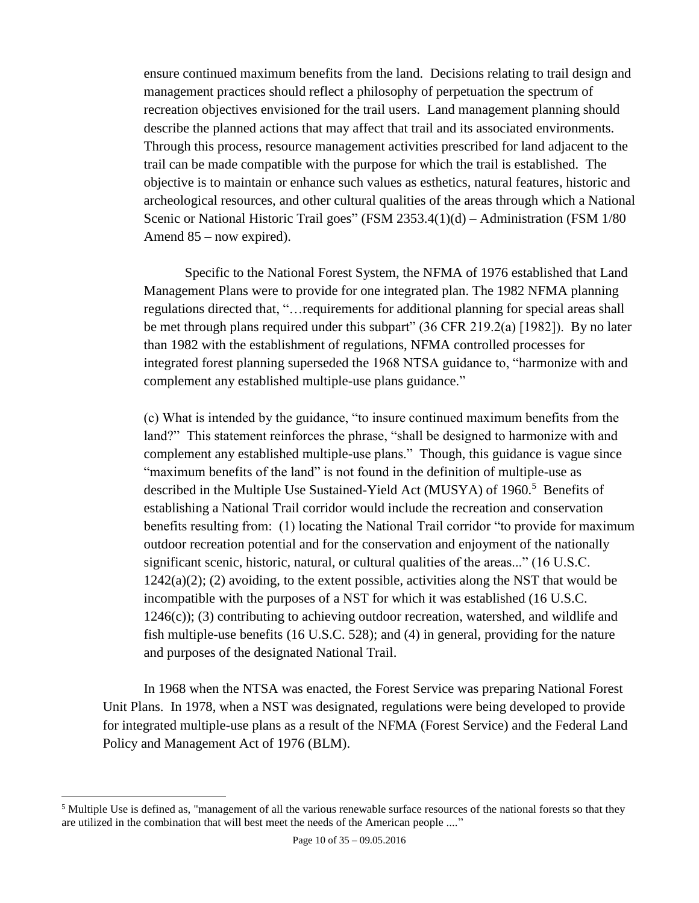ensure continued maximum benefits from the land. Decisions relating to trail design and management practices should reflect a philosophy of perpetuation the spectrum of recreation objectives envisioned for the trail users. Land management planning should describe the planned actions that may affect that trail and its associated environments. Through this process, resource management activities prescribed for land adjacent to the trail can be made compatible with the purpose for which the trail is established. The objective is to maintain or enhance such values as esthetics, natural features, historic and archeological resources, and other cultural qualities of the areas through which a National Scenic or National Historic Trail goes" (FSM 2353.4(1)(d) – Administration (FSM 1/80 Amend 85 – now expired).

Specific to the National Forest System, the NFMA of 1976 established that Land Management Plans were to provide for one integrated plan. The 1982 NFMA planning regulations directed that, "…requirements for additional planning for special areas shall be met through plans required under this subpart" (36 CFR 219.2(a) [1982]). By no later than 1982 with the establishment of regulations, NFMA controlled processes for integrated forest planning superseded the 1968 NTSA guidance to, "harmonize with and complement any established multiple-use plans guidance."

(c) What is intended by the guidance, "to insure continued maximum benefits from the land?" This statement reinforces the phrase, "shall be designed to harmonize with and complement any established multiple-use plans." Though, this guidance is vague since "maximum benefits of the land" is not found in the definition of multiple-use as described in the Multiple Use Sustained-Yield Act (MUSYA) of 1960. <sup>5</sup> Benefits of establishing a National Trail corridor would include the recreation and conservation benefits resulting from: (1) locating the National Trail corridor "to provide for maximum outdoor recreation potential and for the conservation and enjoyment of the nationally significant scenic, historic, natural, or cultural qualities of the areas..." (16 U.S.C.  $1242(a)(2)$ ; (2) avoiding, to the extent possible, activities along the NST that would be incompatible with the purposes of a NST for which it was established (16 U.S.C.  $1246(c)$ ; (3) contributing to achieving outdoor recreation, watershed, and wildlife and fish multiple-use benefits (16 U.S.C. 528); and (4) in general, providing for the nature and purposes of the designated National Trail.

In 1968 when the NTSA was enacted, the Forest Service was preparing National Forest Unit Plans. In 1978, when a NST was designated, regulations were being developed to provide for integrated multiple-use plans as a result of the NFMA (Forest Service) and the Federal Land Policy and Management Act of 1976 (BLM).

 $\overline{a}$ 

<sup>&</sup>lt;sup>5</sup> Multiple Use is defined as, "management of all the various renewable surface resources of the national forests so that they are utilized in the combination that will best meet the needs of the American people ...."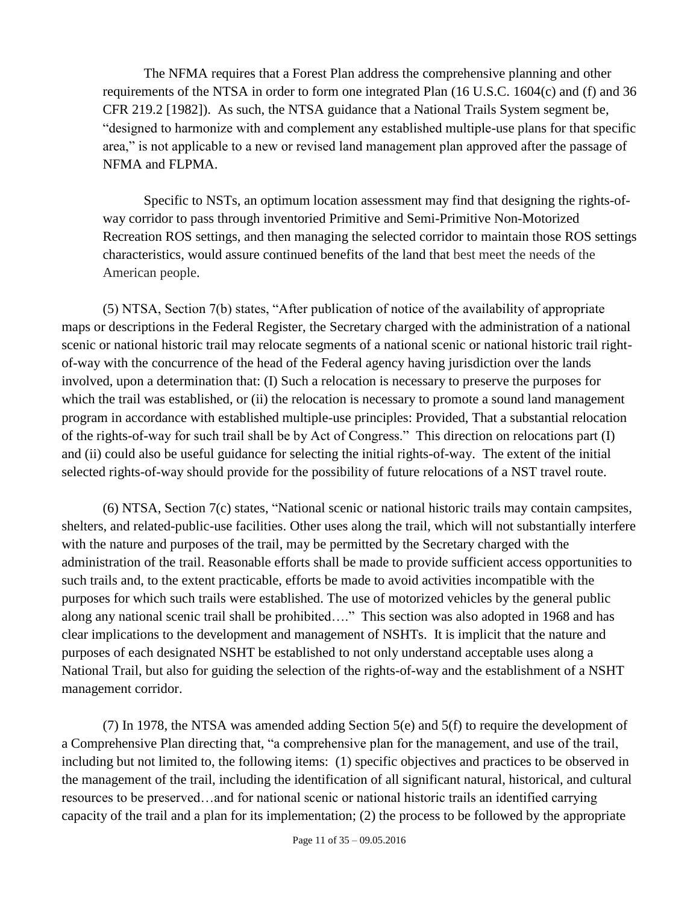The NFMA requires that a Forest Plan address the comprehensive planning and other requirements of the NTSA in order to form one integrated Plan (16 U.S.C. 1604(c) and (f) and 36 CFR 219.2 [1982]). As such, the NTSA guidance that a National Trails System segment be, "designed to harmonize with and complement any established multiple-use plans for that specific area," is not applicable to a new or revised land management plan approved after the passage of NFMA and FLPMA.

Specific to NSTs, an optimum location assessment may find that designing the rights-ofway corridor to pass through inventoried Primitive and Semi-Primitive Non-Motorized Recreation ROS settings, and then managing the selected corridor to maintain those ROS settings characteristics, would assure continued benefits of the land that best meet the needs of the American people.

(5) NTSA, Section 7(b) states, "After publication of notice of the availability of appropriate maps or descriptions in the Federal Register, the Secretary charged with the administration of a national scenic or national historic trail may relocate segments of a national scenic or national historic trail rightof-way with the concurrence of the head of the Federal agency having jurisdiction over the lands involved, upon a determination that: (I) Such a relocation is necessary to preserve the purposes for which the trail was established, or (ii) the relocation is necessary to promote a sound land management program in accordance with established multiple-use principles: Provided, That a substantial relocation of the rights-of-way for such trail shall be by Act of Congress." This direction on relocations part (I) and (ii) could also be useful guidance for selecting the initial rights-of-way. The extent of the initial selected rights-of-way should provide for the possibility of future relocations of a NST travel route.

(6) NTSA, Section 7(c) states, "National scenic or national historic trails may contain campsites, shelters, and related-public-use facilities. Other uses along the trail, which will not substantially interfere with the nature and purposes of the trail, may be permitted by the Secretary charged with the administration of the trail. Reasonable efforts shall be made to provide sufficient access opportunities to such trails and, to the extent practicable, efforts be made to avoid activities incompatible with the purposes for which such trails were established. The use of motorized vehicles by the general public along any national scenic trail shall be prohibited…." This section was also adopted in 1968 and has clear implications to the development and management of NSHTs. It is implicit that the nature and purposes of each designated NSHT be established to not only understand acceptable uses along a National Trail, but also for guiding the selection of the rights-of-way and the establishment of a NSHT management corridor.

(7) In 1978, the NTSA was amended adding Section 5(e) and 5(f) to require the development of a Comprehensive Plan directing that, "a comprehensive plan for the management, and use of the trail, including but not limited to, the following items: (1) specific objectives and practices to be observed in the management of the trail, including the identification of all significant natural, historical, and cultural resources to be preserved…and for national scenic or national historic trails an identified carrying capacity of the trail and a plan for its implementation; (2) the process to be followed by the appropriate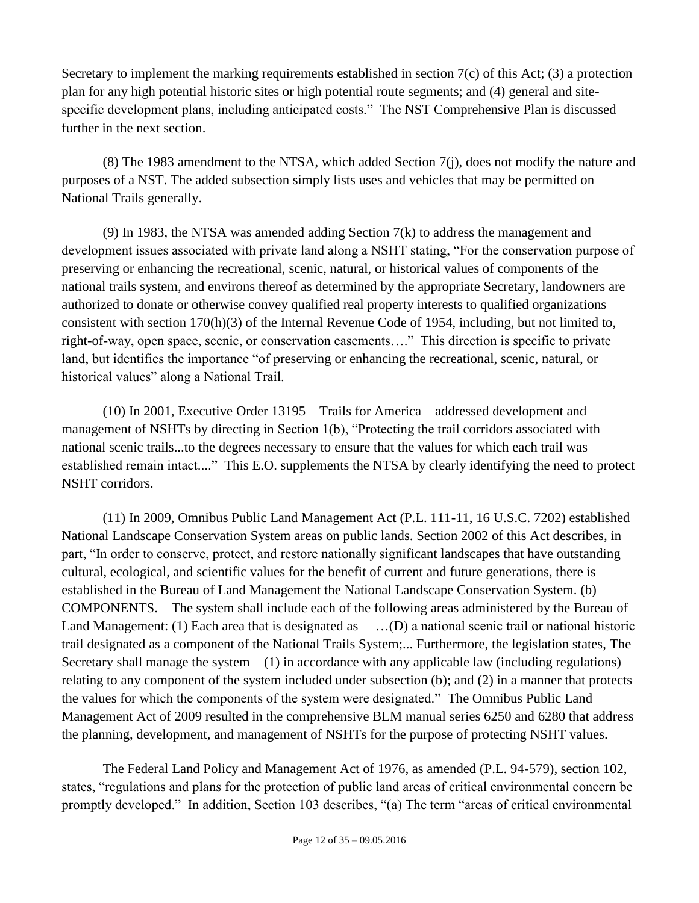Secretary to implement the marking requirements established in section  $7(c)$  of this Act; (3) a protection plan for any high potential historic sites or high potential route segments; and (4) general and sitespecific development plans, including anticipated costs." The NST Comprehensive Plan is discussed further in the next section.

(8) The 1983 amendment to the NTSA, which added Section 7(j), does not modify the nature and purposes of a NST. The added subsection simply lists uses and vehicles that may be permitted on National Trails generally.

(9) In 1983, the NTSA was amended adding Section 7(k) to address the management and development issues associated with private land along a NSHT stating, "For the conservation purpose of preserving or enhancing the recreational, scenic, natural, or historical values of components of the national trails system, and environs thereof as determined by the appropriate Secretary, landowners are authorized to donate or otherwise convey qualified real property interests to qualified organizations consistent with section 170(h)(3) of the Internal Revenue Code of 1954, including, but not limited to, right-of-way, open space, scenic, or conservation easements…." This direction is specific to private land, but identifies the importance "of preserving or enhancing the recreational, scenic, natural, or historical values" along a National Trail.

(10) In 2001, Executive Order 13195 – Trails for America – addressed development and management of NSHTs by directing in Section 1(b), "Protecting the trail corridors associated with national scenic trails...to the degrees necessary to ensure that the values for which each trail was established remain intact...." This E.O. supplements the NTSA by clearly identifying the need to protect NSHT corridors.

(11) In 2009, Omnibus Public Land Management Act (P.L. 111-11, 16 U.S.C. 7202) established National Landscape Conservation System areas on public lands. Section 2002 of this Act describes, in part, "In order to conserve, protect, and restore nationally significant landscapes that have outstanding cultural, ecological, and scientific values for the benefit of current and future generations, there is established in the Bureau of Land Management the National Landscape Conservation System. (b) COMPONENTS.—The system shall include each of the following areas administered by the Bureau of Land Management: (1) Each area that is designated as— ...(D) a national scenic trail or national historic trail designated as a component of the National Trails System;... Furthermore, the legislation states, The Secretary shall manage the system—(1) in accordance with any applicable law (including regulations) relating to any component of the system included under subsection (b); and (2) in a manner that protects the values for which the components of the system were designated." The Omnibus Public Land Management Act of 2009 resulted in the comprehensive BLM manual series 6250 and 6280 that address the planning, development, and management of NSHTs for the purpose of protecting NSHT values.

The Federal Land Policy and Management Act of 1976, as amended (P.L. 94-579), section 102, states, "regulations and plans for the protection of public land areas of critical environmental concern be promptly developed." In addition, Section 103 describes, "(a) The term "areas of critical environmental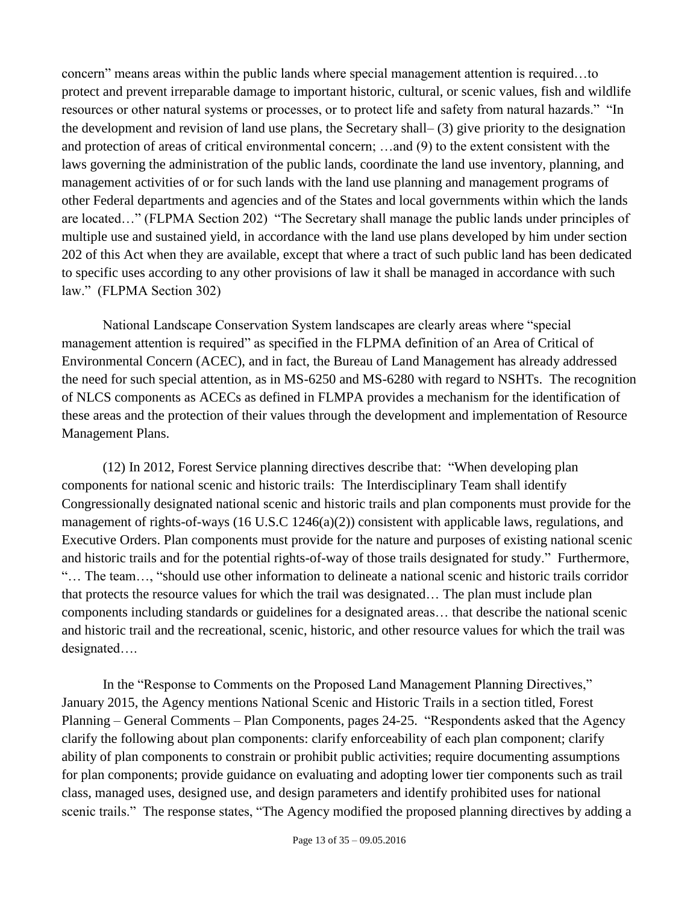concern" means areas within the public lands where special management attention is required…to protect and prevent irreparable damage to important historic, cultural, or scenic values, fish and wildlife resources or other natural systems or processes, or to protect life and safety from natural hazards." "In the development and revision of land use plans, the Secretary shall– (3) give priority to the designation and protection of areas of critical environmental concern; …and (9) to the extent consistent with the laws governing the administration of the public lands, coordinate the land use inventory, planning, and management activities of or for such lands with the land use planning and management programs of other Federal departments and agencies and of the States and local governments within which the lands are located…" (FLPMA Section 202) "The Secretary shall manage the public lands under principles of multiple use and sustained yield, in accordance with the land use plans developed by him under section 202 of this Act when they are available, except that where a tract of such public land has been dedicated to specific uses according to any other provisions of law it shall be managed in accordance with such law." (FLPMA Section 302)

National Landscape Conservation System landscapes are clearly areas where "special management attention is required" as specified in the FLPMA definition of an Area of Critical of Environmental Concern (ACEC), and in fact, the Bureau of Land Management has already addressed the need for such special attention, as in MS-6250 and MS-6280 with regard to NSHTs. The recognition of NLCS components as ACECs as defined in FLMPA provides a mechanism for the identification of these areas and the protection of their values through the development and implementation of Resource Management Plans.

(12) In 2012, Forest Service planning directives describe that: "When developing plan components for national scenic and historic trails: The Interdisciplinary Team shall identify Congressionally designated national scenic and historic trails and plan components must provide for the management of rights-of-ways (16 U.S.C 1246(a)(2)) consistent with applicable laws, regulations, and Executive Orders. Plan components must provide for the nature and purposes of existing national scenic and historic trails and for the potential rights-of-way of those trails designated for study." Furthermore, "… The team…, "should use other information to delineate a national scenic and historic trails corridor that protects the resource values for which the trail was designated… The plan must include plan components including standards or guidelines for a designated areas… that describe the national scenic and historic trail and the recreational, scenic, historic, and other resource values for which the trail was designated….

In the "Response to Comments on the Proposed Land Management Planning Directives," January 2015, the Agency mentions National Scenic and Historic Trails in a section titled, Forest Planning – General Comments – Plan Components, pages 24-25. "Respondents asked that the Agency clarify the following about plan components: clarify enforceability of each plan component; clarify ability of plan components to constrain or prohibit public activities; require documenting assumptions for plan components; provide guidance on evaluating and adopting lower tier components such as trail class, managed uses, designed use, and design parameters and identify prohibited uses for national scenic trails." The response states, "The Agency modified the proposed planning directives by adding a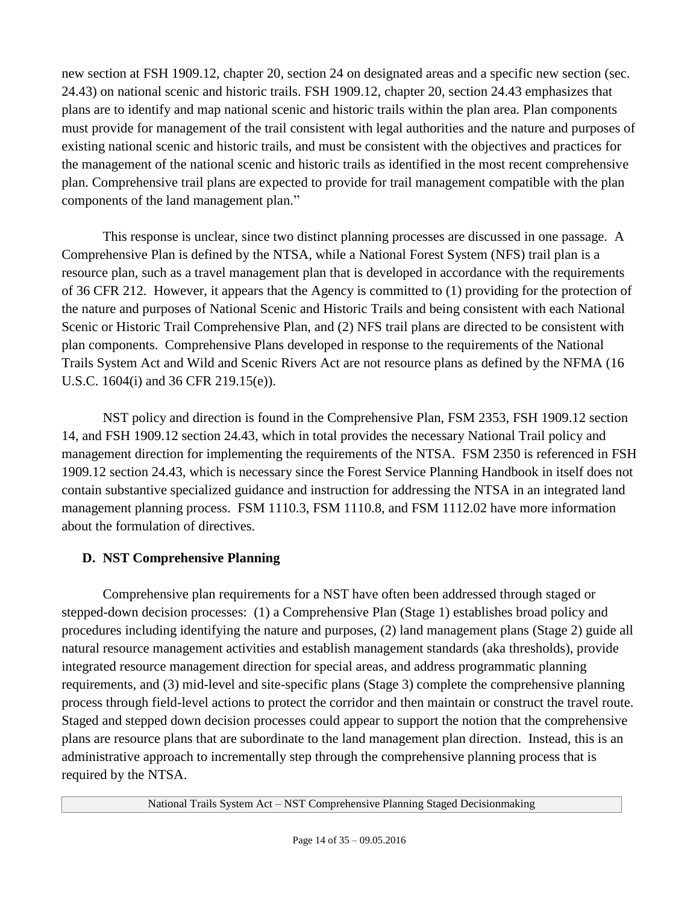new section at FSH 1909.12, chapter 20, section 24 on designated areas and a specific new section (sec. 24.43) on national scenic and historic trails. FSH 1909.12, chapter 20, section 24.43 emphasizes that plans are to identify and map national scenic and historic trails within the plan area. Plan components must provide for management of the trail consistent with legal authorities and the nature and purposes of existing national scenic and historic trails, and must be consistent with the objectives and practices for the management of the national scenic and historic trails as identified in the most recent comprehensive plan. Comprehensive trail plans are expected to provide for trail management compatible with the plan components of the land management plan."

This response is unclear, since two distinct planning processes are discussed in one passage. A Comprehensive Plan is defined by the NTSA, while a National Forest System (NFS) trail plan is a resource plan, such as a travel management plan that is developed in accordance with the requirements of 36 CFR 212. However, it appears that the Agency is committed to (1) providing for the protection of the nature and purposes of National Scenic and Historic Trails and being consistent with each National Scenic or Historic Trail Comprehensive Plan, and (2) NFS trail plans are directed to be consistent with plan components. Comprehensive Plans developed in response to the requirements of the National Trails System Act and Wild and Scenic Rivers Act are not resource plans as defined by the NFMA (16 U.S.C. 1604(i) and 36 CFR 219.15(e)).

NST policy and direction is found in the Comprehensive Plan, FSM 2353, FSH 1909.12 section 14, and FSH 1909.12 section 24.43, which in total provides the necessary National Trail policy and management direction for implementing the requirements of the NTSA. FSM 2350 is referenced in FSH 1909.12 section 24.43, which is necessary since the Forest Service Planning Handbook in itself does not contain substantive specialized guidance and instruction for addressing the NTSA in an integrated land management planning process. FSM 1110.3, FSM 1110.8, and FSM 1112.02 have more information about the formulation of directives.

## <span id="page-13-0"></span>**D. NST Comprehensive Planning**

Comprehensive plan requirements for a NST have often been addressed through staged or stepped-down decision processes: (1) a Comprehensive Plan (Stage 1) establishes broad policy and procedures including identifying the nature and purposes, (2) land management plans (Stage 2) guide all natural resource management activities and establish management standards (aka thresholds), provide integrated resource management direction for special areas, and address programmatic planning requirements, and (3) mid-level and site-specific plans (Stage 3) complete the comprehensive planning process through field-level actions to protect the corridor and then maintain or construct the travel route. Staged and stepped down decision processes could appear to support the notion that the comprehensive plans are resource plans that are subordinate to the land management plan direction. Instead, this is an administrative approach to incrementally step through the comprehensive planning process that is required by the NTSA.

National Trails System Act – NST Comprehensive Planning Staged Decisionmaking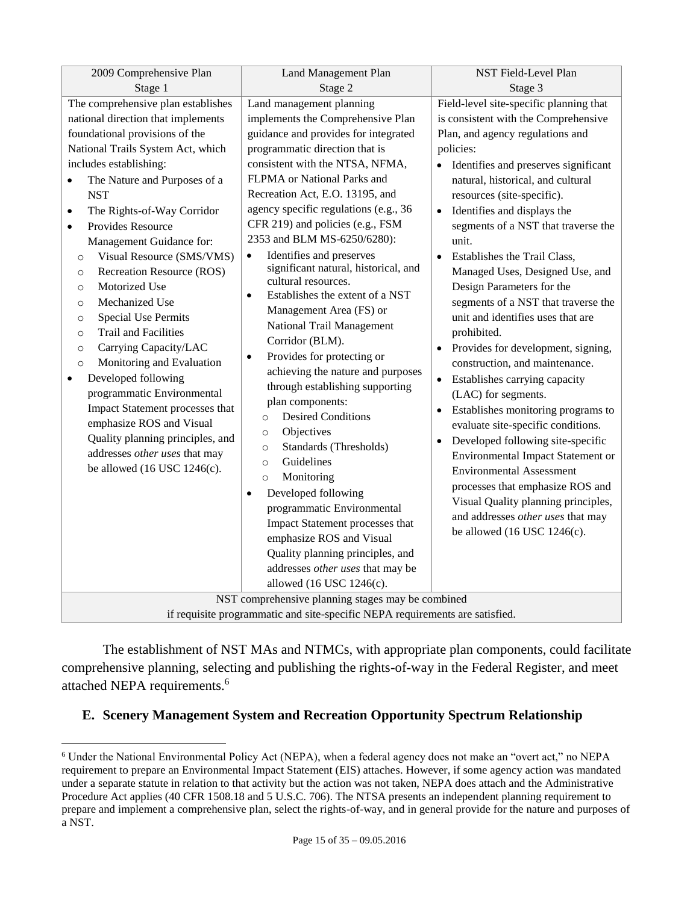| 2009 Comprehensive Plan                                                                                                                                                                                                                                                                                                                                                                                                                                                                                                                                                                                                                                                                                                                                                                                                                                                                  | Land Management Plan                                                                                                                                                                                                                                                                                                                                                                                                                                                                                                                                                                                                                                                                                                                                                                                                                                                                                                                                                                                                                                                                                                            | NST Field-Level Plan                                                                                                                                                                                                                                                                                                                                                                                                                                                                                                                                                                                                                                                                                                                                                                                                                                                                                                                                                                                                                        |  |
|------------------------------------------------------------------------------------------------------------------------------------------------------------------------------------------------------------------------------------------------------------------------------------------------------------------------------------------------------------------------------------------------------------------------------------------------------------------------------------------------------------------------------------------------------------------------------------------------------------------------------------------------------------------------------------------------------------------------------------------------------------------------------------------------------------------------------------------------------------------------------------------|---------------------------------------------------------------------------------------------------------------------------------------------------------------------------------------------------------------------------------------------------------------------------------------------------------------------------------------------------------------------------------------------------------------------------------------------------------------------------------------------------------------------------------------------------------------------------------------------------------------------------------------------------------------------------------------------------------------------------------------------------------------------------------------------------------------------------------------------------------------------------------------------------------------------------------------------------------------------------------------------------------------------------------------------------------------------------------------------------------------------------------|---------------------------------------------------------------------------------------------------------------------------------------------------------------------------------------------------------------------------------------------------------------------------------------------------------------------------------------------------------------------------------------------------------------------------------------------------------------------------------------------------------------------------------------------------------------------------------------------------------------------------------------------------------------------------------------------------------------------------------------------------------------------------------------------------------------------------------------------------------------------------------------------------------------------------------------------------------------------------------------------------------------------------------------------|--|
| Stage 1                                                                                                                                                                                                                                                                                                                                                                                                                                                                                                                                                                                                                                                                                                                                                                                                                                                                                  | Stage 2                                                                                                                                                                                                                                                                                                                                                                                                                                                                                                                                                                                                                                                                                                                                                                                                                                                                                                                                                                                                                                                                                                                         | Stage 3                                                                                                                                                                                                                                                                                                                                                                                                                                                                                                                                                                                                                                                                                                                                                                                                                                                                                                                                                                                                                                     |  |
| The comprehensive plan establishes<br>national direction that implements<br>foundational provisions of the<br>National Trails System Act, which<br>includes establishing:<br>The Nature and Purposes of a<br>$\bullet$<br><b>NST</b><br>The Rights-of-Way Corridor<br>$\bullet$<br>Provides Resource<br>$\bullet$<br>Management Guidance for:<br>Visual Resource (SMS/VMS)<br>$\circ$<br>Recreation Resource (ROS)<br>$\circ$<br>Motorized Use<br>$\circ$<br>Mechanized Use<br>$\circ$<br><b>Special Use Permits</b><br>$\circ$<br>Trail and Facilities<br>$\circ$<br>Carrying Capacity/LAC<br>$\circ$<br>Monitoring and Evaluation<br>$\circ$<br>Developed following<br>$\bullet$<br>programmatic Environmental<br>Impact Statement processes that<br>emphasize ROS and Visual<br>Quality planning principles, and<br>addresses other uses that may<br>be allowed $(16$ USC $1246(c)$ . | Land management planning<br>implements the Comprehensive Plan<br>guidance and provides for integrated<br>programmatic direction that is<br>consistent with the NTSA, NFMA,<br>FLPMA or National Parks and<br>Recreation Act, E.O. 13195, and<br>agency specific regulations (e.g., 36<br>CFR 219) and policies (e.g., FSM<br>2353 and BLM MS-6250/6280):<br>Identifies and preserves<br>$\bullet$<br>significant natural, historical, and<br>cultural resources.<br>Establishes the extent of a NST<br>$\bullet$<br>Management Area (FS) or<br>National Trail Management<br>Corridor (BLM).<br>Provides for protecting or<br>$\bullet$<br>achieving the nature and purposes<br>through establishing supporting<br>plan components:<br><b>Desired Conditions</b><br>$\circ$<br>Objectives<br>$\circ$<br>Standards (Thresholds)<br>$\circ$<br>Guidelines<br>$\circ$<br>Monitoring<br>$\circ$<br>Developed following<br>$\bullet$<br>programmatic Environmental<br>Impact Statement processes that<br>emphasize ROS and Visual<br>Quality planning principles, and<br>addresses other uses that may be<br>allowed (16 USC 1246(c). | Field-level site-specific planning that<br>is consistent with the Comprehensive<br>Plan, and agency regulations and<br>policies:<br>• Identifies and preserves significant<br>natural, historical, and cultural<br>resources (site-specific).<br>Identifies and displays the<br>$\bullet$<br>segments of a NST that traverse the<br>unit.<br>Establishes the Trail Class,<br>$\bullet$<br>Managed Uses, Designed Use, and<br>Design Parameters for the<br>segments of a NST that traverse the<br>unit and identifies uses that are<br>prohibited.<br>Provides for development, signing,<br>construction, and maintenance.<br>Establishes carrying capacity<br>$\bullet$<br>(LAC) for segments.<br>Establishes monitoring programs to<br>evaluate site-specific conditions.<br>Developed following site-specific<br>Environmental Impact Statement or<br><b>Environmental Assessment</b><br>processes that emphasize ROS and<br>Visual Quality planning principles,<br>and addresses other uses that may<br>be allowed $(16$ USC $1246(c)$ . |  |
| NST comprehensive planning stages may be combined<br>if requisite programmatic and site-specific NEPA requirements are satisfied.                                                                                                                                                                                                                                                                                                                                                                                                                                                                                                                                                                                                                                                                                                                                                        |                                                                                                                                                                                                                                                                                                                                                                                                                                                                                                                                                                                                                                                                                                                                                                                                                                                                                                                                                                                                                                                                                                                                 |                                                                                                                                                                                                                                                                                                                                                                                                                                                                                                                                                                                                                                                                                                                                                                                                                                                                                                                                                                                                                                             |  |
|                                                                                                                                                                                                                                                                                                                                                                                                                                                                                                                                                                                                                                                                                                                                                                                                                                                                                          |                                                                                                                                                                                                                                                                                                                                                                                                                                                                                                                                                                                                                                                                                                                                                                                                                                                                                                                                                                                                                                                                                                                                 |                                                                                                                                                                                                                                                                                                                                                                                                                                                                                                                                                                                                                                                                                                                                                                                                                                                                                                                                                                                                                                             |  |

The establishment of NST MAs and NTMCs, with appropriate plan components, could facilitate comprehensive planning, selecting and publishing the rights-of-way in the Federal Register, and meet attached NEPA requirements.<sup>6</sup>

#### <span id="page-14-0"></span>**E. Scenery Management System and Recreation Opportunity Spectrum Relationship**

 $\overline{a}$ 

<sup>6</sup> Under the National Environmental Policy Act (NEPA), when a federal agency does not make an "overt act," no NEPA requirement to prepare an Environmental Impact Statement (EIS) attaches. However, if some agency action was mandated under a separate statute in relation to that activity but the action was not taken, NEPA does attach and the Administrative Procedure Act applies (40 CFR 1508.18 and 5 U.S.C. 706). The NTSA presents an independent planning requirement to prepare and implement a comprehensive plan, select the rights-of-way, and in general provide for the nature and purposes of a NST.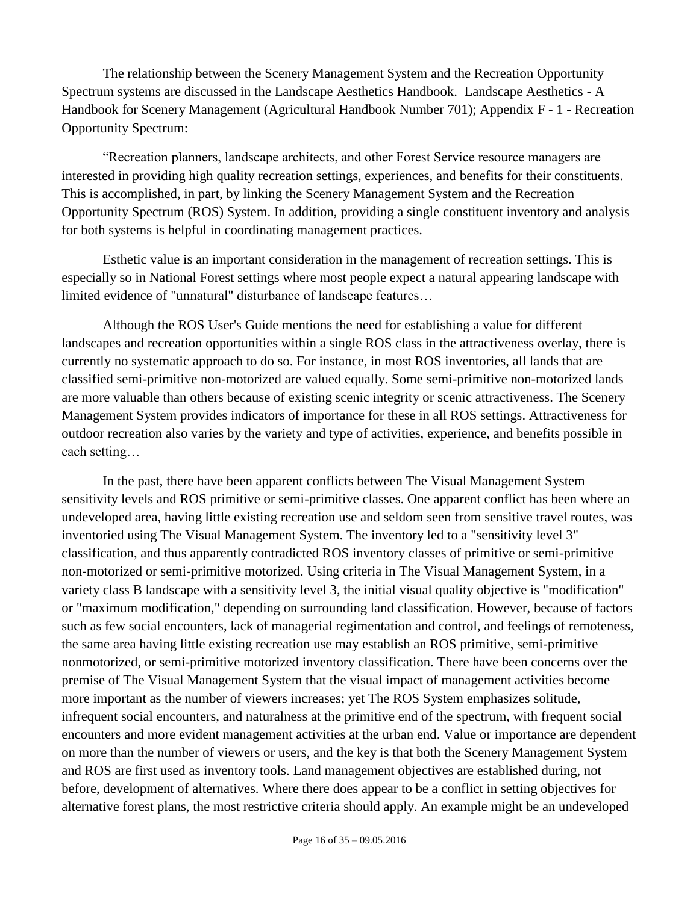The relationship between the Scenery Management System and the Recreation Opportunity Spectrum systems are discussed in the Landscape Aesthetics Handbook. Landscape Aesthetics - A Handbook for Scenery Management (Agricultural Handbook Number 701); Appendix F - 1 - Recreation Opportunity Spectrum:

"Recreation planners, landscape architects, and other Forest Service resource managers are interested in providing high quality recreation settings, experiences, and benefits for their constituents. This is accomplished, in part, by linking the Scenery Management System and the Recreation Opportunity Spectrum (ROS) System. In addition, providing a single constituent inventory and analysis for both systems is helpful in coordinating management practices.

Esthetic value is an important consideration in the management of recreation settings. This is especially so in National Forest settings where most people expect a natural appearing landscape with limited evidence of "unnatural" disturbance of landscape features…

Although the ROS User's Guide mentions the need for establishing a value for different landscapes and recreation opportunities within a single ROS class in the attractiveness overlay, there is currently no systematic approach to do so. For instance, in most ROS inventories, all lands that are classified semi-primitive non-motorized are valued equally. Some semi-primitive non-motorized lands are more valuable than others because of existing scenic integrity or scenic attractiveness. The Scenery Management System provides indicators of importance for these in all ROS settings. Attractiveness for outdoor recreation also varies by the variety and type of activities, experience, and benefits possible in each setting…

In the past, there have been apparent conflicts between The Visual Management System sensitivity levels and ROS primitive or semi-primitive classes. One apparent conflict has been where an undeveloped area, having little existing recreation use and seldom seen from sensitive travel routes, was inventoried using The Visual Management System. The inventory led to a "sensitivity level 3" classification, and thus apparently contradicted ROS inventory classes of primitive or semi-primitive non-motorized or semi-primitive motorized. Using criteria in The Visual Management System, in a variety class B landscape with a sensitivity level 3, the initial visual quality objective is "modification" or "maximum modification," depending on surrounding land classification. However, because of factors such as few social encounters, lack of managerial regimentation and control, and feelings of remoteness, the same area having little existing recreation use may establish an ROS primitive, semi-primitive nonmotorized, or semi-primitive motorized inventory classification. There have been concerns over the premise of The Visual Management System that the visual impact of management activities become more important as the number of viewers increases; yet The ROS System emphasizes solitude, infrequent social encounters, and naturalness at the primitive end of the spectrum, with frequent social encounters and more evident management activities at the urban end. Value or importance are dependent on more than the number of viewers or users, and the key is that both the Scenery Management System and ROS are first used as inventory tools. Land management objectives are established during, not before, development of alternatives. Where there does appear to be a conflict in setting objectives for alternative forest plans, the most restrictive criteria should apply. An example might be an undeveloped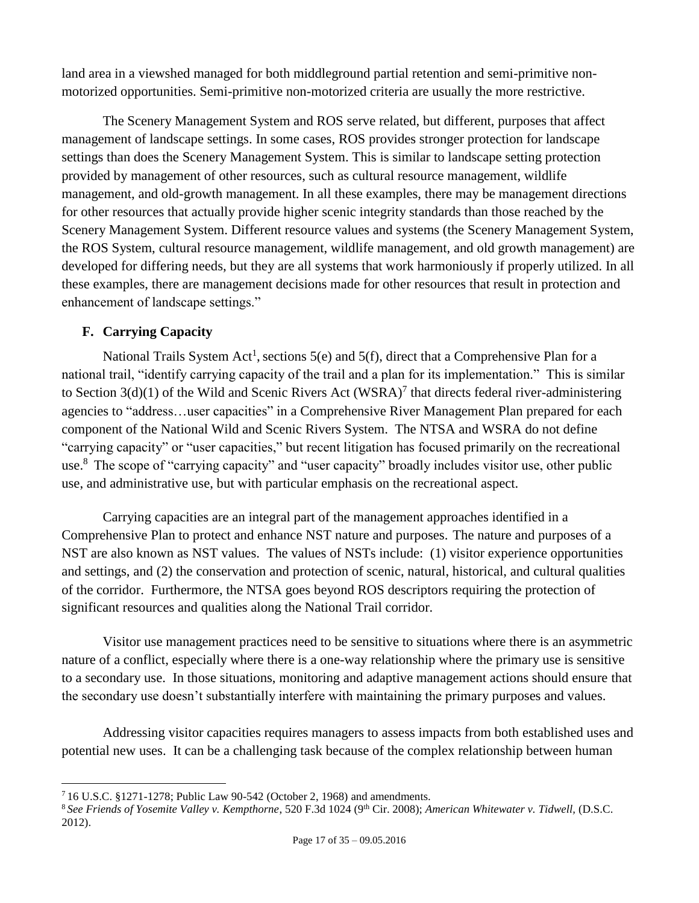land area in a viewshed managed for both middleground partial retention and semi-primitive nonmotorized opportunities. Semi-primitive non-motorized criteria are usually the more restrictive.

The Scenery Management System and ROS serve related, but different, purposes that affect management of landscape settings. In some cases, ROS provides stronger protection for landscape settings than does the Scenery Management System. This is similar to landscape setting protection provided by management of other resources, such as cultural resource management, wildlife management, and old-growth management. In all these examples, there may be management directions for other resources that actually provide higher scenic integrity standards than those reached by the Scenery Management System. Different resource values and systems (the Scenery Management System, the ROS System, cultural resource management, wildlife management, and old growth management) are developed for differing needs, but they are all systems that work harmoniously if properly utilized. In all these examples, there are management decisions made for other resources that result in protection and enhancement of landscape settings."

## <span id="page-16-0"></span>**F. Carrying Capacity**

 $\overline{a}$ 

National Trails System Act<sup>[1](#page-2-3)</sup>, sections 5(e) and 5(f), direct that a Comprehensive Plan for a national trail, "identify carrying capacity of the trail and a plan for its implementation." This is similar to Section  $3(d)(1)$  of the Wild and Scenic Rivers Act (WSRA)<sup>7</sup> that directs federal river-administering agencies to "address…user capacities" in a Comprehensive River Management Plan prepared for each component of the National Wild and Scenic Rivers System. The NTSA and WSRA do not define "carrying capacity" or "user capacities," but recent litigation has focused primarily on the recreational use.<sup>8</sup> The scope of "carrying capacity" and "user capacity" broadly includes visitor use, other public use, and administrative use, but with particular emphasis on the recreational aspect.

Carrying capacities are an integral part of the management approaches identified in a Comprehensive Plan to protect and enhance NST nature and purposes. The nature and purposes of a NST are also known as NST values. The values of NSTs include: (1) visitor experience opportunities and settings, and (2) the conservation and protection of scenic, natural, historical, and cultural qualities of the corridor. Furthermore, the NTSA goes beyond ROS descriptors requiring the protection of significant resources and qualities along the National Trail corridor.

Visitor use management practices need to be sensitive to situations where there is an asymmetric nature of a conflict, especially where there is a one-way relationship where the primary use is sensitive to a secondary use. In those situations, monitoring and adaptive management actions should ensure that the secondary use doesn't substantially interfere with maintaining the primary purposes and values.

Addressing visitor capacities requires managers to assess impacts from both established uses and potential new uses. It can be a challenging task because of the complex relationship between human

<sup>7</sup> 16 U.S.C. §1271-1278; Public Law 90-542 (October 2, 1968) and amendments.

<sup>8</sup> *See Friends of Yosemite Valley v. Kempthorne*, 520 F.3d 1024 (9th Cir. 2008); *American Whitewater v. Tidwell,* (D.S.C. 2012).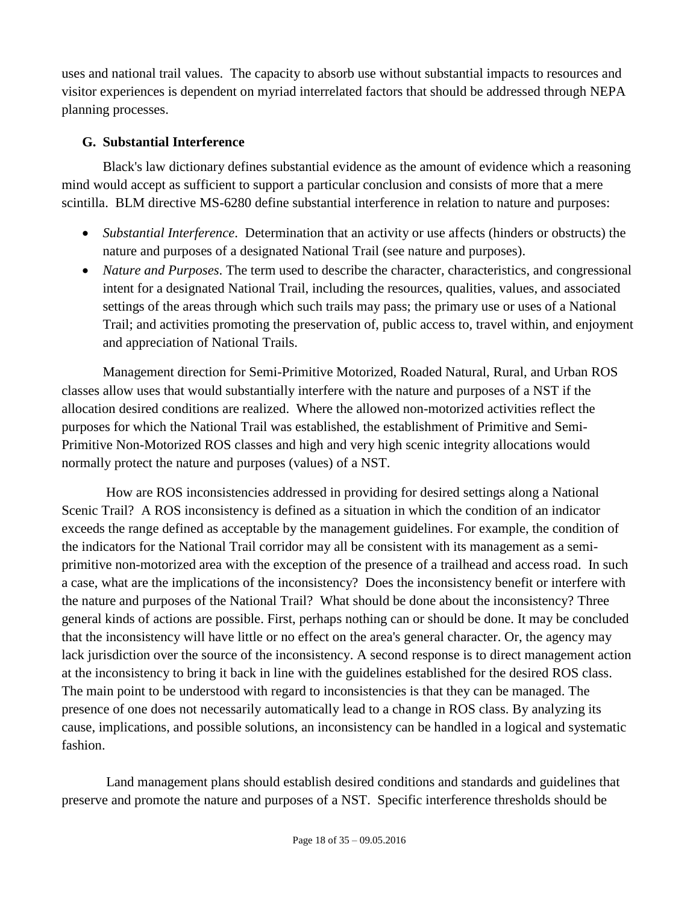uses and national trail values. The capacity to absorb use without substantial impacts to resources and visitor experiences is dependent on myriad interrelated factors that should be addressed through NEPA planning processes.

## <span id="page-17-0"></span>**G. Substantial Interference**

Black's law dictionary defines substantial evidence as the amount of evidence which a reasoning mind would accept as sufficient to support a particular conclusion and consists of more that a mere scintilla. BLM directive MS-6280 define substantial interference in relation to nature and purposes:

- *Substantial Interference*. Determination that an activity or use affects (hinders or obstructs) the nature and purposes of a designated National Trail (see nature and purposes).
- *Nature and Purposes*. The term used to describe the character, characteristics, and congressional intent for a designated National Trail, including the resources, qualities, values, and associated settings of the areas through which such trails may pass; the primary use or uses of a National Trail; and activities promoting the preservation of, public access to, travel within, and enjoyment and appreciation of National Trails.

Management direction for Semi-Primitive Motorized, Roaded Natural, Rural, and Urban ROS classes allow uses that would substantially interfere with the nature and purposes of a NST if the allocation desired conditions are realized. Where the allowed non-motorized activities reflect the purposes for which the National Trail was established, the establishment of Primitive and Semi-Primitive Non-Motorized ROS classes and high and very high scenic integrity allocations would normally protect the nature and purposes (values) of a NST.

How are ROS inconsistencies addressed in providing for desired settings along a National Scenic Trail? A ROS inconsistency is defined as a situation in which the condition of an indicator exceeds the range defined as acceptable by the management guidelines. For example, the condition of the indicators for the National Trail corridor may all be consistent with its management as a semiprimitive non-motorized area with the exception of the presence of a trailhead and access road. In such a case, what are the implications of the inconsistency? Does the inconsistency benefit or interfere with the nature and purposes of the National Trail? What should be done about the inconsistency? Three general kinds of actions are possible. First, perhaps nothing can or should be done. It may be concluded that the inconsistency will have little or no effect on the area's general character. Or, the agency may lack jurisdiction over the source of the inconsistency. A second response is to direct management action at the inconsistency to bring it back in line with the guidelines established for the desired ROS class. The main point to be understood with regard to inconsistencies is that they can be managed. The presence of one does not necessarily automatically lead to a change in ROS class. By analyzing its cause, implications, and possible solutions, an inconsistency can be handled in a logical and systematic fashion.

Land management plans should establish desired conditions and standards and guidelines that preserve and promote the nature and purposes of a NST. Specific interference thresholds should be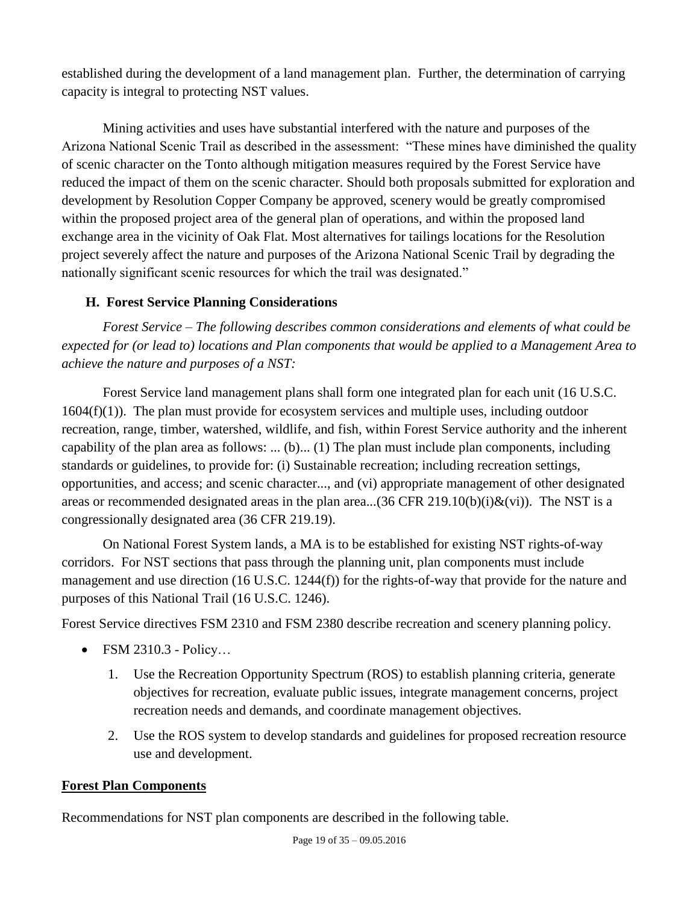established during the development of a land management plan. Further, the determination of carrying capacity is integral to protecting NST values.

Mining activities and uses have substantial interfered with the nature and purposes of the Arizona National Scenic Trail as described in the assessment: "These mines have diminished the quality of scenic character on the Tonto although mitigation measures required by the Forest Service have reduced the impact of them on the scenic character. Should both proposals submitted for exploration and development by Resolution Copper Company be approved, scenery would be greatly compromised within the proposed project area of the general plan of operations, and within the proposed land exchange area in the vicinity of Oak Flat. Most alternatives for tailings locations for the Resolution project severely affect the nature and purposes of the Arizona National Scenic Trail by degrading the nationally significant scenic resources for which the trail was designated."

## <span id="page-18-0"></span>**H. Forest Service Planning Considerations**

*Forest Service – The following describes common considerations and elements of what could be expected for (or lead to) locations and Plan components that would be applied to a Management Area to achieve the nature and purposes of a NST:*

Forest Service land management plans shall form one integrated plan for each unit (16 U.S.C.  $1604(f)(1)$ . The plan must provide for ecosystem services and multiple uses, including outdoor recreation, range, timber, watershed, wildlife, and fish, within Forest Service authority and the inherent capability of the plan area as follows: ...  $(b)$ ...  $(1)$  The plan must include plan components, including standards or guidelines, to provide for: (i) Sustainable recreation; including recreation settings, opportunities, and access; and scenic character..., and (vi) appropriate management of other designated areas or recommended designated areas in the plan area...(36 CFR 219.10(b)(i) $\&$ (vi)). The NST is a congressionally designated area (36 CFR 219.19).

On National Forest System lands, a MA is to be established for existing NST rights-of-way corridors. For NST sections that pass through the planning unit, plan components must include management and use direction (16 U.S.C. 1244(f)) for the rights-of-way that provide for the nature and purposes of this National Trail (16 U.S.C. 1246).

Forest Service directives FSM 2310 and FSM 2380 describe recreation and scenery planning policy.

- FSM 2310.3 Policy...
	- 1. Use the Recreation Opportunity Spectrum (ROS) to establish planning criteria, generate objectives for recreation, evaluate public issues, integrate management concerns, project recreation needs and demands, and coordinate management objectives.
	- 2. Use the ROS system to develop standards and guidelines for proposed recreation resource use and development.

#### **Forest Plan Components**

Recommendations for NST plan components are described in the following table.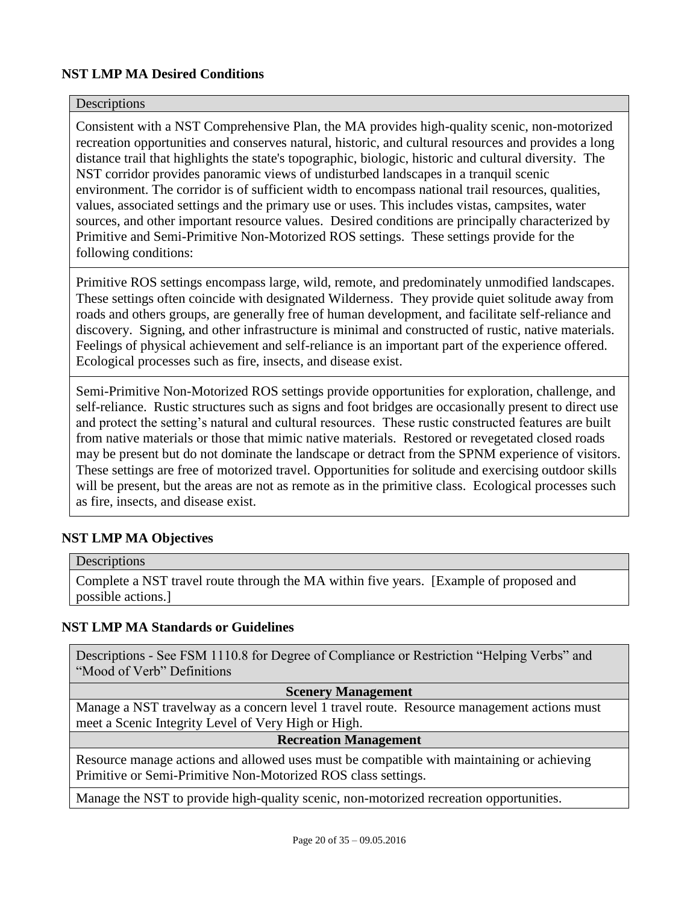#### **NST LMP MA Desired Conditions**

#### **Descriptions**

Consistent with a NST Comprehensive Plan, the MA provides high-quality scenic, non-motorized recreation opportunities and conserves natural, historic, and cultural resources and provides a long distance trail that highlights the state's topographic, biologic, historic and cultural diversity. The NST corridor provides panoramic views of undisturbed landscapes in a tranquil scenic environment. The corridor is of sufficient width to encompass national trail resources, qualities, values, associated settings and the primary use or uses. This includes vistas, campsites, water sources, and other important resource values. Desired conditions are principally characterized by Primitive and Semi-Primitive Non-Motorized ROS settings. These settings provide for the following conditions:

Primitive ROS settings encompass large, wild, remote, and predominately unmodified landscapes. These settings often coincide with designated Wilderness. They provide quiet solitude away from roads and others groups, are generally free of human development, and facilitate self-reliance and discovery. Signing, and other infrastructure is minimal and constructed of rustic, native materials. Feelings of physical achievement and self-reliance is an important part of the experience offered. Ecological processes such as fire, insects, and disease exist.

Semi-Primitive Non-Motorized ROS settings provide opportunities for exploration, challenge, and self-reliance. Rustic structures such as signs and foot bridges are occasionally present to direct use and protect the setting's natural and cultural resources. These rustic constructed features are built from native materials or those that mimic native materials. Restored or revegetated closed roads may be present but do not dominate the landscape or detract from the SPNM experience of visitors. These settings are free of motorized travel. Opportunities for solitude and exercising outdoor skills will be present, but the areas are not as remote as in the primitive class. Ecological processes such as fire, insects, and disease exist.

#### **NST LMP MA Objectives**

#### Descriptions

Complete a NST travel route through the MA within five years. [Example of proposed and possible actions.]

#### **NST LMP MA Standards or Guidelines**

Descriptions - See FSM 1110.8 for Degree of Compliance or Restriction "Helping Verbs" and "Mood of Verb" Definitions

#### **Scenery Management**

Manage a NST travelway as a concern level 1 travel route. Resource management actions must meet a Scenic Integrity Level of Very High or High.

#### **Recreation Management**

Resource manage actions and allowed uses must be compatible with maintaining or achieving Primitive or Semi-Primitive Non-Motorized ROS class settings.

Manage the NST to provide high-quality scenic, non-motorized recreation opportunities.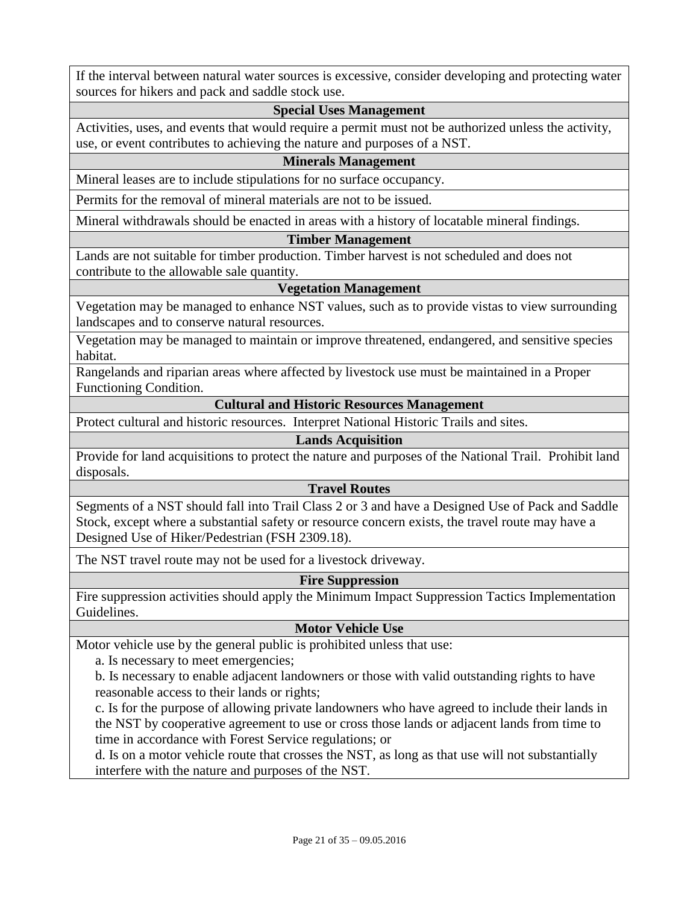If the interval between natural water sources is excessive, consider developing and protecting water sources for hikers and pack and saddle stock use.

#### **Special Uses Management**

Activities, uses, and events that would require a permit must not be authorized unless the activity, use, or event contributes to achieving the nature and purposes of a NST.

#### **Minerals Management**

Mineral leases are to include stipulations for no surface occupancy.

Permits for the removal of mineral materials are not to be issued.

Mineral withdrawals should be enacted in areas with a history of locatable mineral findings.

#### **Timber Management**

Lands are not suitable for timber production. Timber harvest is not scheduled and does not contribute to the allowable sale quantity.

#### **Vegetation Management**

Vegetation may be managed to enhance NST values, such as to provide vistas to view surrounding landscapes and to conserve natural resources.

Vegetation may be managed to maintain or improve threatened, endangered, and sensitive species habitat.

Rangelands and riparian areas where affected by livestock use must be maintained in a Proper Functioning Condition.

#### **Cultural and Historic Resources Management**

Protect cultural and historic resources. Interpret National Historic Trails and sites.

#### **Lands Acquisition**

Provide for land acquisitions to protect the nature and purposes of the National Trail. Prohibit land disposals.

#### **Travel Routes**

Segments of a NST should fall into Trail Class 2 or 3 and have a Designed Use of Pack and Saddle Stock, except where a substantial safety or resource concern exists, the travel route may have a Designed Use of Hiker/Pedestrian (FSH 2309.18).

The NST travel route may not be used for a livestock driveway.

#### **Fire Suppression**

Fire suppression activities should apply the Minimum Impact Suppression Tactics Implementation Guidelines.

#### **Motor Vehicle Use**

Motor vehicle use by the general public is prohibited unless that use:

a. Is necessary to meet emergencies;

b. Is necessary to enable adjacent landowners or those with valid outstanding rights to have reasonable access to their lands or rights;

c. Is for the purpose of allowing private landowners who have agreed to include their lands in the NST by cooperative agreement to use or cross those lands or adjacent lands from time to time in accordance with Forest Service regulations; or

d. Is on a motor vehicle route that crosses the NST, as long as that use will not substantially interfere with the nature and purposes of the NST.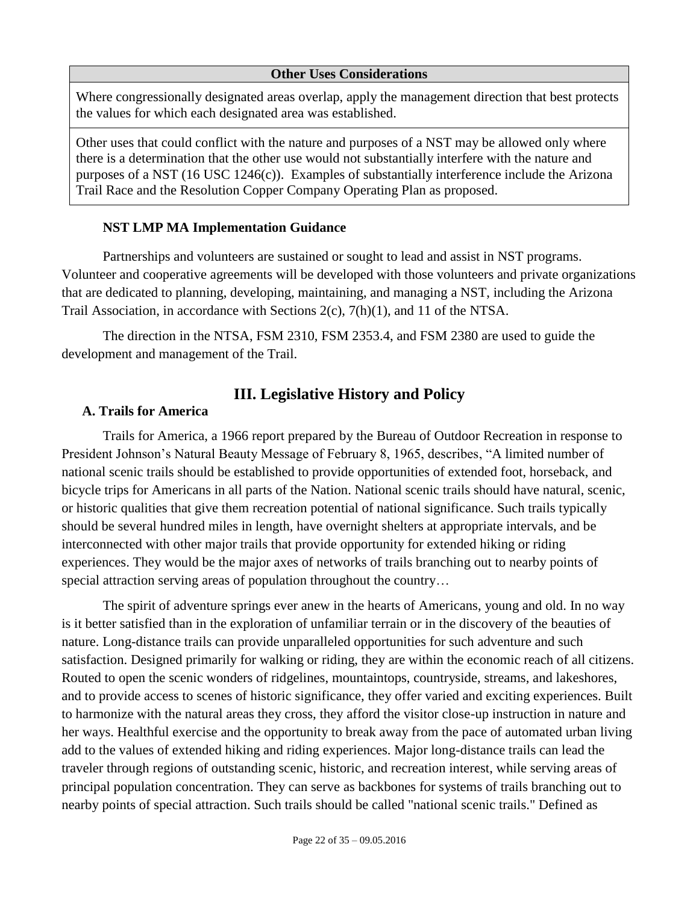#### **Other Uses Considerations**

Where congressionally designated areas overlap, apply the management direction that best protects the values for which each designated area was established.

Other uses that could conflict with the nature and purposes of a NST may be allowed only where there is a determination that the other use would not substantially interfere with the nature and purposes of a NST (16 USC 1246(c)). Examples of substantially interference include the Arizona Trail Race and the Resolution Copper Company Operating Plan as proposed.

#### **NST LMP MA Implementation Guidance**

Partnerships and volunteers are sustained or sought to lead and assist in NST programs. Volunteer and cooperative agreements will be developed with those volunteers and private organizations that are dedicated to planning, developing, maintaining, and managing a NST, including the Arizona Trail Association, in accordance with Sections 2(c), 7(h)(1), and 11 of the NTSA.

<span id="page-21-0"></span>The direction in the NTSA, FSM 2310, FSM 2353.4, and FSM 2380 are used to guide the development and management of the Trail.

## **III. Legislative History and Policy**

#### <span id="page-21-1"></span>**A. Trails for America**

Trails for America, a 1966 report prepared by the Bureau of Outdoor Recreation in response to President Johnson's Natural Beauty Message of February 8, 1965, describes, "A limited number of national scenic trails should be established to provide opportunities of extended foot, horseback, and bicycle trips for Americans in all parts of the Nation. National scenic trails should have natural, scenic, or historic qualities that give them recreation potential of national significance. Such trails typically should be several hundred miles in length, have overnight shelters at appropriate intervals, and be interconnected with other major trails that provide opportunity for extended hiking or riding experiences. They would be the major axes of networks of trails branching out to nearby points of special attraction serving areas of population throughout the country...

The spirit of adventure springs ever anew in the hearts of Americans, young and old. In no way is it better satisfied than in the exploration of unfamiliar terrain or in the discovery of the beauties of nature. Long-distance trails can provide unparalleled opportunities for such adventure and such satisfaction. Designed primarily for walking or riding, they are within the economic reach of all citizens. Routed to open the scenic wonders of ridgelines, mountaintops, countryside, streams, and lakeshores, and to provide access to scenes of historic significance, they offer varied and exciting experiences. Built to harmonize with the natural areas they cross, they afford the visitor close-up instruction in nature and her ways. Healthful exercise and the opportunity to break away from the pace of automated urban living add to the values of extended hiking and riding experiences. Major long-distance trails can lead the traveler through regions of outstanding scenic, historic, and recreation interest, while serving areas of principal population concentration. They can serve as backbones for systems of trails branching out to nearby points of special attraction. Such trails should be called "national scenic trails." Defined as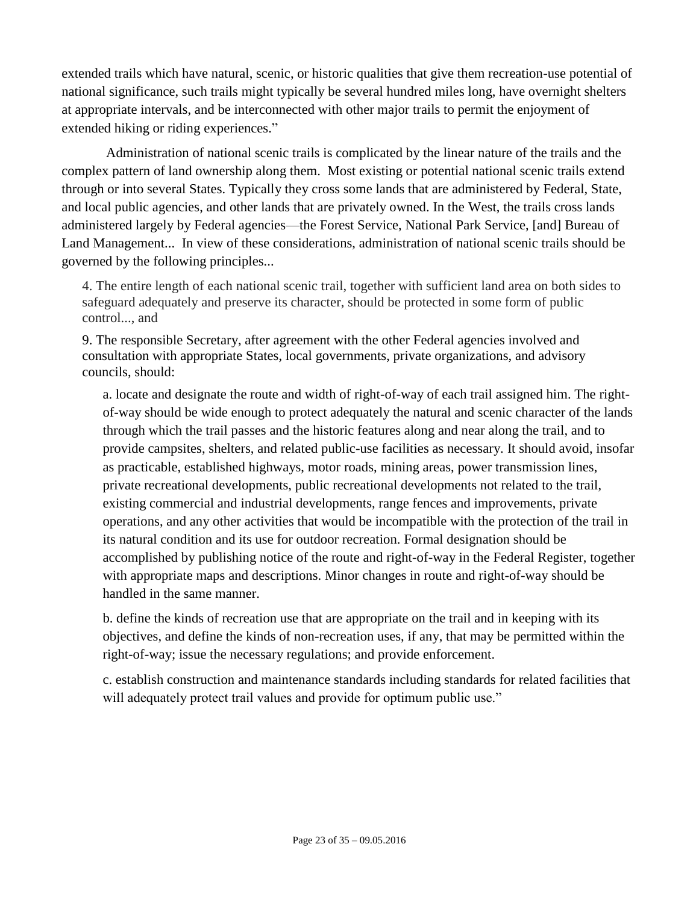extended trails which have natural, scenic, or historic qualities that give them recreation-use potential of national significance, such trails might typically be several hundred miles long, have overnight shelters at appropriate intervals, and be interconnected with other major trails to permit the enjoyment of extended hiking or riding experiences."

Administration of national scenic trails is complicated by the linear nature of the trails and the complex pattern of land ownership along them. Most existing or potential national scenic trails extend through or into several States. Typically they cross some lands that are administered by Federal, State, and local public agencies, and other lands that are privately owned. In the West, the trails cross lands administered largely by Federal agencies—the Forest Service, National Park Service, [and] Bureau of Land Management... In view of these considerations, administration of national scenic trails should be governed by the following principles...

4. The entire length of each national scenic trail, together with sufficient land area on both sides to safeguard adequately and preserve its character, should be protected in some form of public control..., and

9. The responsible Secretary, after agreement with the other Federal agencies involved and consultation with appropriate States, local governments, private organizations, and advisory councils, should:

a. locate and designate the route and width of right-of-way of each trail assigned him. The rightof-way should be wide enough to protect adequately the natural and scenic character of the lands through which the trail passes and the historic features along and near along the trail, and to provide campsites, shelters, and related public-use facilities as necessary. It should avoid, insofar as practicable, established highways, motor roads, mining areas, power transmission lines, private recreational developments, public recreational developments not related to the trail, existing commercial and industrial developments, range fences and improvements, private operations, and any other activities that would be incompatible with the protection of the trail in its natural condition and its use for outdoor recreation. Formal designation should be accomplished by publishing notice of the route and right-of-way in the Federal Register, together with appropriate maps and descriptions. Minor changes in route and right-of-way should be handled in the same manner.

b. define the kinds of recreation use that are appropriate on the trail and in keeping with its objectives, and define the kinds of non-recreation uses, if any, that may be permitted within the right-of-way; issue the necessary regulations; and provide enforcement.

c. establish construction and maintenance standards including standards for related facilities that will adequately protect trail values and provide for optimum public use."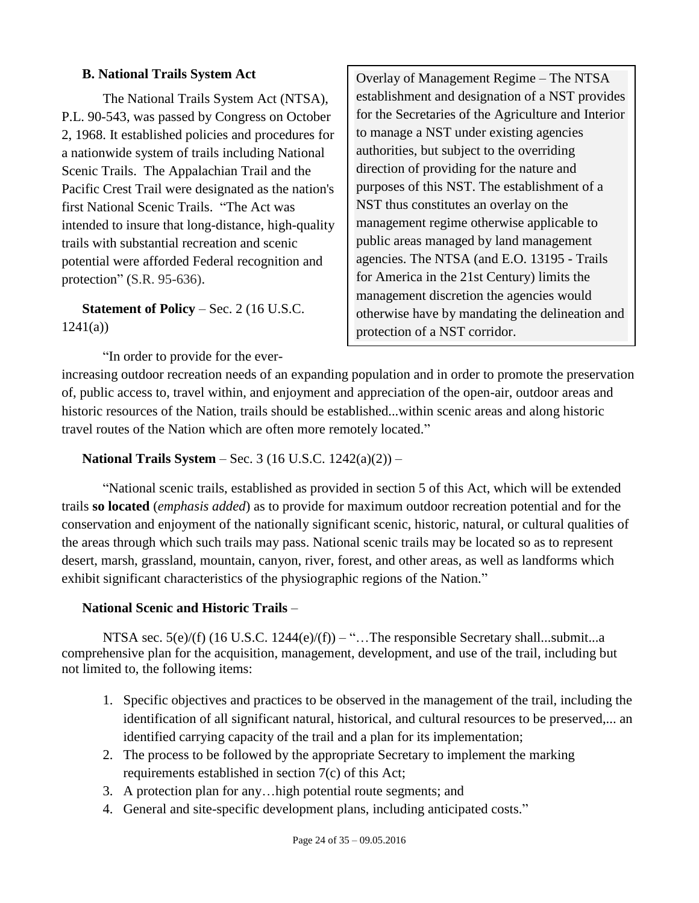#### <span id="page-23-0"></span>**B. National Trails System Act**

The National Trails System Act (NTSA), P.L. 90-543, was passed by Congress on October 2, 1968. It established policies and procedures for a nationwide system of trails including National Scenic Trails. The Appalachian Trail and the Pacific Crest Trail were designated as the nation's first National Scenic Trails. "The Act was intended to insure that long-distance, high-quality trails with substantial recreation and scenic potential were afforded Federal recognition and protection" (S.R. 95-636).

**Statement of Policy** – Sec. 2 (16 U.S.C. 1241(a))

"In order to provide for the ever-

Overlay of Management Regime – The NTSA establishment and designation of a NST provides for the Secretaries of the Agriculture and Interior to manage a NST under existing agencies authorities, but subject to the overriding direction of providing for the nature and purposes of this NST. The establishment of a NST thus constitutes an overlay on the management regime otherwise applicable to public areas managed by land management agencies. The NTSA (and E.O. 13195 - Trails for America in the 21st Century) limits the management discretion the agencies would otherwise have by mandating the delineation and protection of a NST corridor.

increasing outdoor recreation needs of an expanding population and in order to promote the preservation of, public access to, travel within, and enjoyment and appreciation of the open-air, outdoor areas and historic resources of the Nation, trails should be established...within scenic areas and along historic travel routes of the Nation which are often more remotely located."

**National Trails System** – Sec. 3 (16 U.S.C. 1242(a)(2)) –

"National scenic trails, established as provided in section 5 of this Act, which will be extended trails **so located** (*emphasis added*) as to provide for maximum outdoor recreation potential and for the conservation and enjoyment of the nationally significant scenic, historic, natural, or cultural qualities of the areas through which such trails may pass. National scenic trails may be located so as to represent desert, marsh, grassland, mountain, canyon, river, forest, and other areas, as well as landforms which exhibit significant characteristics of the physiographic regions of the Nation."

#### **National Scenic and Historic Trails** –

NTSA sec.  $5(e)/(f)$  (16 U.S.C. 1244 $(e)/(f)$ ) – "... The responsible Secretary shall...submit...a comprehensive plan for the acquisition, management, development, and use of the trail, including but not limited to, the following items:

- 1. Specific objectives and practices to be observed in the management of the trail, including the identification of all significant natural, historical, and cultural resources to be preserved,... an identified carrying capacity of the trail and a plan for its implementation;
- 2. The process to be followed by the appropriate Secretary to implement the marking requirements established in section 7(c) of this Act;
- 3. A protection plan for any…high potential route segments; and
- 4. General and site-specific development plans, including anticipated costs."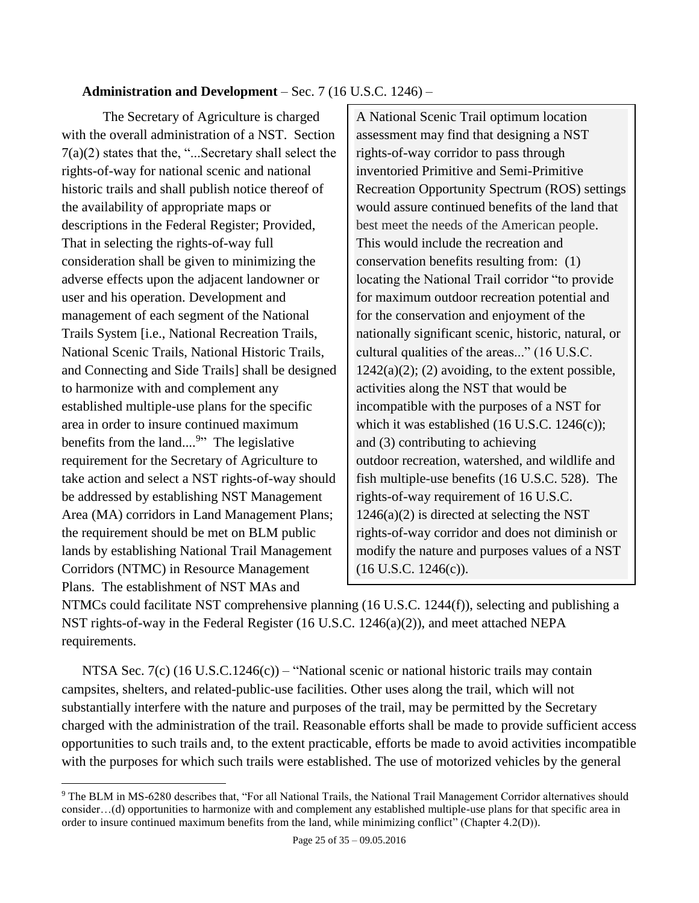## **Administration and Development** – Sec. 7 (16 U.S.C. 1246) –

The Secretary of Agriculture is charged with the overall administration of a NST. Section 7(a)(2) states that the, "...Secretary shall select the rights-of-way for national scenic and national historic trails and shall publish notice thereof of the availability of appropriate maps or descriptions in the Federal Register; Provided, That in selecting the rights-of-way full consideration shall be given to minimizing the adverse effects upon the adjacent landowner or user and his operation. Development and management of each segment of the National Trails System [i.e., National Recreation Trails, National Scenic Trails, National Historic Trails, and Connecting and Side Trails] shall be designed to harmonize with and complement any established multiple-use plans for the specific area in order to insure continued maximum benefits from the land....<sup>9</sup>" The legislative requirement for the Secretary of Agriculture to take action and select a NST rights-of-way should be addressed by establishing NST Management Area (MA) corridors in Land Management Plans; the requirement should be met on BLM public lands by establishing National Trail Management Corridors (NTMC) in Resource Management Plans. The establishment of NST MAs and

 $\overline{a}$ 

A National Scenic Trail optimum location assessment may find that designing a NST rights-of-way corridor to pass through inventoried Primitive and Semi-Primitive Recreation Opportunity Spectrum (ROS) settings would assure continued benefits of the land that best meet the needs of the American people. This would include the recreation and conservation benefits resulting from: (1) locating the National Trail corridor "to provide for maximum outdoor recreation potential and for the conservation and enjoyment of the nationally significant scenic, historic, natural, or cultural qualities of the areas..." (16 U.S.C.  $1242(a)(2)$ ; (2) avoiding, to the extent possible, activities along the NST that would be incompatible with the purposes of a NST for which it was established (16 U.S.C. 1246(c)); and (3) contributing to achieving outdoor recreation, watershed, and wildlife and fish multiple-use benefits (16 U.S.C. 528). The rights-of-way requirement of 16 U.S.C.  $1246(a)(2)$  is directed at selecting the NST rights-of-way corridor and does not diminish or modify the nature and purposes values of a NST (16 U.S.C. 1246(c)).

NTMCs could facilitate NST comprehensive planning (16 U.S.C. 1244(f)), selecting and publishing a NST rights-of-way in the Federal Register (16 U.S.C. 1246(a)(2)), and meet attached NEPA requirements.

NTSA Sec. 7(c) (16 U.S.C.1246(c)) – "National scenic or national historic trails may contain campsites, shelters, and related-public-use facilities. Other uses along the trail, which will not substantially interfere with the nature and purposes of the trail, may be permitted by the Secretary charged with the administration of the trail. Reasonable efforts shall be made to provide sufficient access opportunities to such trails and, to the extent practicable, efforts be made to avoid activities incompatible with the purposes for which such trails were established. The use of motorized vehicles by the general

<sup>&</sup>lt;sup>9</sup> The BLM in MS-6280 describes that, "For all National Trails, the National Trail Management Corridor alternatives should consider…(d) opportunities to harmonize with and complement any established multiple-use plans for that specific area in order to insure continued maximum benefits from the land, while minimizing conflict" (Chapter 4.2(D)).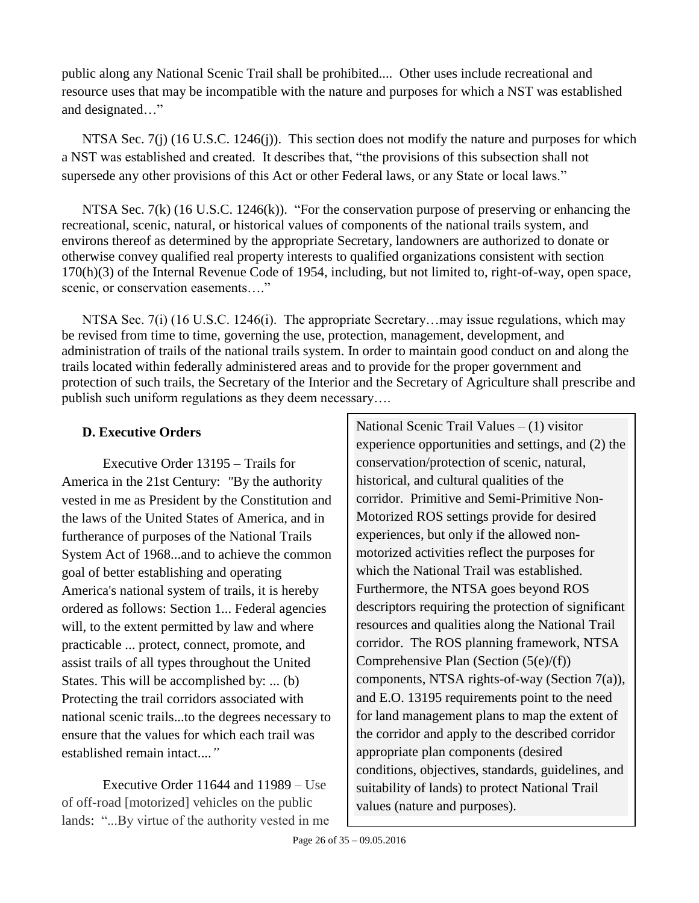public along any National Scenic Trail shall be prohibited.... Other uses include recreational and resource uses that may be incompatible with the nature and purposes for which a NST was established and designated…"

NTSA Sec. 7(j) (16 U.S.C. 1246(j)). This section does not modify the nature and purposes for which a NST was established and created. It describes that, "the provisions of this subsection shall not supersede any other provisions of this Act or other Federal laws, or any State or local laws."

NTSA Sec. 7(k) (16 U.S.C. 1246(k)). "For the conservation purpose of preserving or enhancing the recreational, scenic, natural, or historical values of components of the national trails system, and environs thereof as determined by the appropriate Secretary, landowners are authorized to donate or otherwise convey qualified real property interests to qualified organizations consistent with section 170(h)(3) of the Internal Revenue Code of 1954, including, but not limited to, right-of-way, open space, scenic, or conservation easements...."

NTSA Sec. 7(i) (16 U.S.C. 1246(i). The appropriate Secretary...may issue regulations, which may be revised from time to time, governing the use, protection, management, development, and administration of trails of the national trails system. In order to maintain good conduct on and along the trails located within federally administered areas and to provide for the proper government and protection of such trails, the Secretary of the Interior and the Secretary of Agriculture shall prescribe and publish such uniform regulations as they deem necessary….

## <span id="page-25-0"></span>**D. Executive Orders**

Executive Order 13195 – Trails for America in the 21st Century: *"*By the authority vested in me as President by the Constitution and the laws of the United States of America, and in furtherance of purposes of the National Trails System Act of 1968...and to achieve the common goal of better establishing and operating America's national system of trails, it is hereby ordered as follows: Section 1... Federal agencies will, to the extent permitted by law and where practicable ... protect, connect, promote, and assist trails of all types throughout the United States. This will be accomplished by: ... (b) Protecting the trail corridors associated with national scenic trails...to the degrees necessary to ensure that the values for which each trail was established remain intact....*"*

Executive Order 11644 and 11989 – Use of off-road [motorized] vehicles on the public lands: "...By virtue of the authority vested in me

National Scenic Trail Values – (1) visitor experience opportunities and settings, and (2) the conservation/protection of scenic, natural, historical, and cultural qualities of the corridor. Primitive and Semi-Primitive Non-Motorized ROS settings provide for desired experiences, but only if the allowed nonmotorized activities reflect the purposes for which the National Trail was established. Furthermore, the NTSA goes beyond ROS descriptors requiring the protection of significant resources and qualities along the National Trail corridor. The ROS planning framework, NTSA Comprehensive Plan (Section (5(e)/(f)) components, NTSA rights-of-way (Section 7(a)), and E.O. 13195 requirements point to the need for land management plans to map the extent of the corridor and apply to the described corridor appropriate plan components (desired conditions, objectives, standards, guidelines, and suitability of lands) to protect National Trail values (nature and purposes).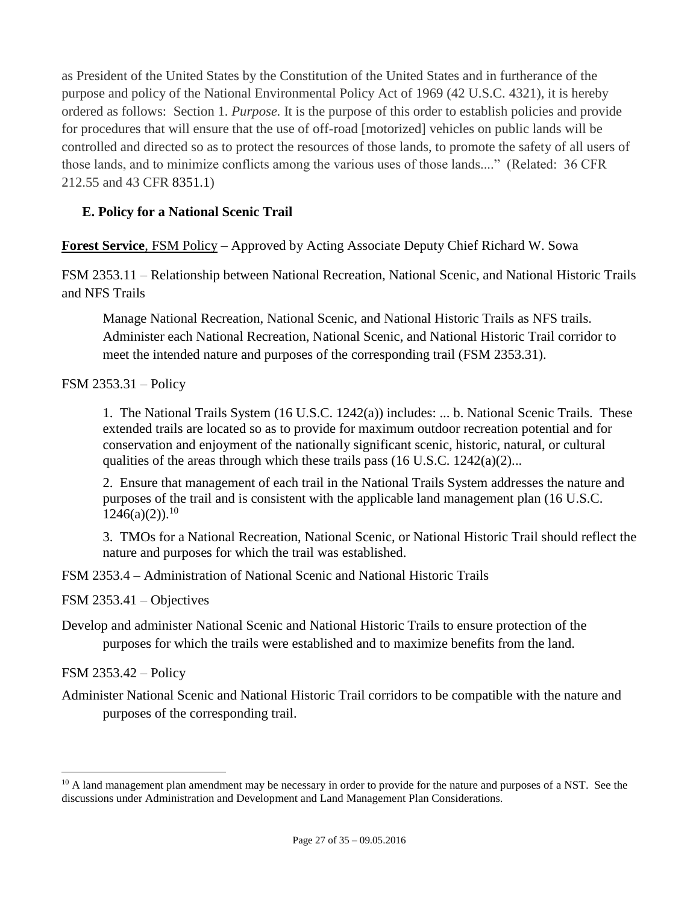as President of the United States by the Constitution of the United States and in furtherance of the purpose and policy of the National Environmental Policy Act of 1969 (42 U.S.C. 4321), it is hereby ordered as follows: Section 1. *Purpose.* It is the purpose of this order to establish policies and provide for procedures that will ensure that the use of off-road [motorized] vehicles on public lands will be controlled and directed so as to protect the resources of those lands, to promote the safety of all users of those lands, and to minimize conflicts among the various uses of those lands...." (Related: 36 CFR 212.55 and 43 CFR 8351.1)

## <span id="page-26-0"></span>**E. Policy for a National Scenic Trail**

**Forest Service**, FSM Policy – Approved by Acting Associate Deputy Chief Richard W. Sowa

FSM 2353.11 – Relationship between National Recreation, National Scenic, and National Historic Trails and NFS Trails

Manage National Recreation, National Scenic, and National Historic Trails as NFS trails. Administer each National Recreation, National Scenic, and National Historic Trail corridor to meet the intended nature and purposes of the corresponding trail (FSM 2353.31).

FSM 2353.31 – Policy

1. The National Trails System (16 U.S.C. 1242(a)) includes: ... b. National Scenic Trails. These extended trails are located so as to provide for maximum outdoor recreation potential and for conservation and enjoyment of the nationally significant scenic, historic, natural, or cultural qualities of the areas through which these trails pass  $(16 \text{ U.S.C. } 1242(a)(2)...$ 

2. Ensure that management of each trail in the National Trails System addresses the nature and purposes of the trail and is consistent with the applicable land management plan (16 U.S.C.  $1246(a)(2)$ .<sup>10</sup>

3. TMOs for a National Recreation, National Scenic, or National Historic Trail should reflect the nature and purposes for which the trail was established.

FSM 2353.4 – Administration of National Scenic and National Historic Trails

FSM 2353.41 – Objectives

Develop and administer National Scenic and National Historic Trails to ensure protection of the purposes for which the trails were established and to maximize benefits from the land.

FSM 2353.42 – Policy

 $\overline{a}$ 

Administer National Scenic and National Historic Trail corridors to be compatible with the nature and purposes of the corresponding trail.

 $10$  A land management plan amendment may be necessary in order to provide for the nature and purposes of a NST. See the discussions under Administration and Development and Land Management Plan Considerations.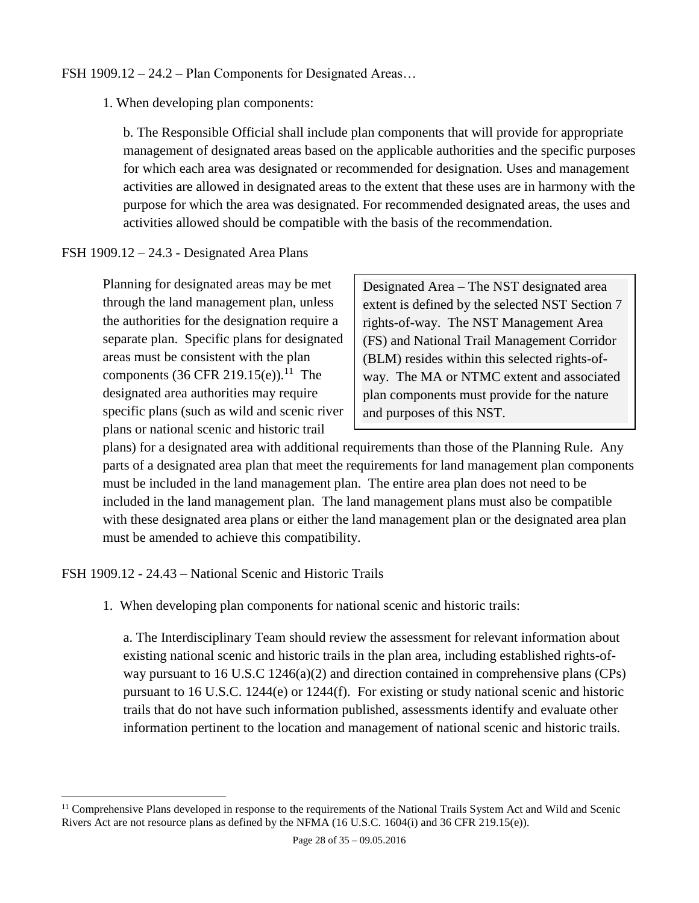#### FSH 1909.12 – 24.2 – Plan Components for Designated Areas…

1. When developing plan components:

b. The Responsible Official shall include plan components that will provide for appropriate management of designated areas based on the applicable authorities and the specific purposes for which each area was designated or recommended for designation. Uses and management activities are allowed in designated areas to the extent that these uses are in harmony with the purpose for which the area was designated. For recommended designated areas, the uses and activities allowed should be compatible with the basis of the recommendation.

#### FSH 1909.12 – 24.3 - Designated Area Plans

Planning for designated areas may be met through the land management plan, unless the authorities for the designation require a separate plan. Specific plans for designated areas must be consistent with the plan components  $(36 \text{ CFR } 219.15(e)).^{11}$  The designated area authorities may require specific plans (such as wild and scenic river plans or national scenic and historic trail

Designated Area – The NST designated area extent is defined by the selected NST Section 7 rights-of-way. The NST Management Area (FS) and National Trail Management Corridor (BLM) resides within this selected rights-ofway. The MA or NTMC extent and associated plan components must provide for the nature and purposes of this NST.

plans) for a designated area with additional requirements than those of the Planning Rule. Any parts of a designated area plan that meet the requirements for land management plan components must be included in the land management plan. The entire area plan does not need to be included in the land management plan. The land management plans must also be compatible with these designated area plans or either the land management plan or the designated area plan must be amended to achieve this compatibility.

FSH 1909.12 - 24.43 – National Scenic and Historic Trails

 $\overline{a}$ 

1. When developing plan components for national scenic and historic trails:

a. The Interdisciplinary Team should review the assessment for relevant information about existing national scenic and historic trails in the plan area, including established rights-ofway pursuant to 16 U.S.C 1246(a)(2) and direction contained in comprehensive plans (CPs) pursuant to 16 U.S.C. 1244(e) or 1244(f). For existing or study national scenic and historic trails that do not have such information published, assessments identify and evaluate other information pertinent to the location and management of national scenic and historic trails.

<sup>&</sup>lt;sup>11</sup> Comprehensive Plans developed in response to the requirements of the National Trails System Act and Wild and Scenic Rivers Act are not resource plans as defined by the NFMA (16 U.S.C. 1604(i) and 36 CFR 219.15(e)).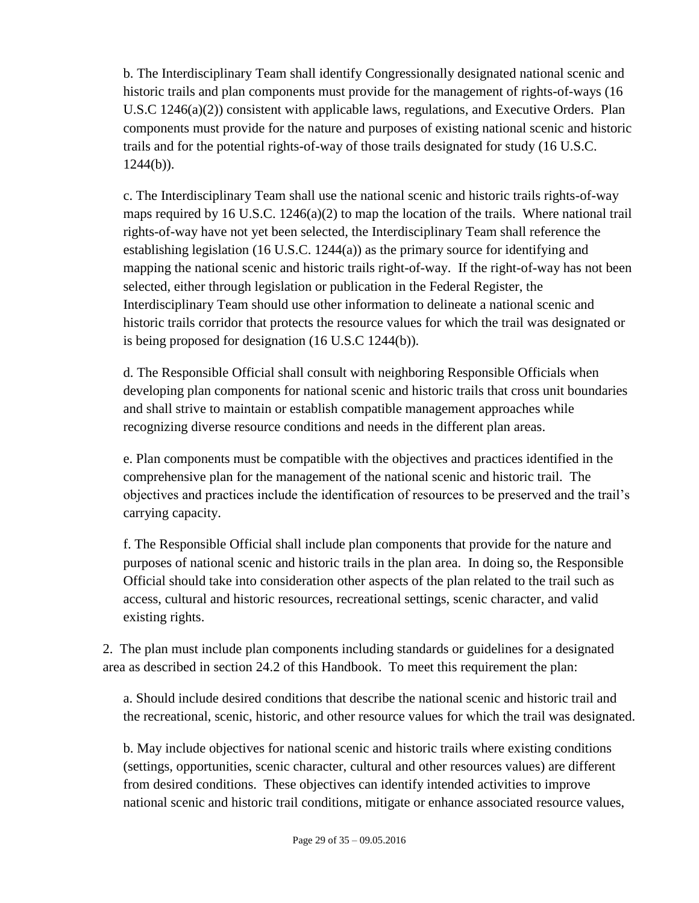b. The Interdisciplinary Team shall identify Congressionally designated national scenic and historic trails and plan components must provide for the management of rights-of-ways (16 U.S.C 1246(a)(2)) consistent with applicable laws, regulations, and Executive Orders. Plan components must provide for the nature and purposes of existing national scenic and historic trails and for the potential rights-of-way of those trails designated for study (16 U.S.C.  $1244(b)$ ).

c. The Interdisciplinary Team shall use the national scenic and historic trails rights-of-way maps required by 16 U.S.C. 1246(a)(2) to map the location of the trails. Where national trail rights-of-way have not yet been selected, the Interdisciplinary Team shall reference the establishing legislation (16 U.S.C. 1244(a)) as the primary source for identifying and mapping the national scenic and historic trails right-of-way. If the right-of-way has not been selected, either through legislation or publication in the Federal Register, the Interdisciplinary Team should use other information to delineate a national scenic and historic trails corridor that protects the resource values for which the trail was designated or is being proposed for designation (16 U.S.C 1244(b)).

d. The Responsible Official shall consult with neighboring Responsible Officials when developing plan components for national scenic and historic trails that cross unit boundaries and shall strive to maintain or establish compatible management approaches while recognizing diverse resource conditions and needs in the different plan areas.

e. Plan components must be compatible with the objectives and practices identified in the comprehensive plan for the management of the national scenic and historic trail. The objectives and practices include the identification of resources to be preserved and the trail's carrying capacity.

f. The Responsible Official shall include plan components that provide for the nature and purposes of national scenic and historic trails in the plan area. In doing so, the Responsible Official should take into consideration other aspects of the plan related to the trail such as access, cultural and historic resources, recreational settings, scenic character, and valid existing rights.

2. The plan must include plan components including standards or guidelines for a designated area as described in section 24.2 of this Handbook. To meet this requirement the plan:

a. Should include desired conditions that describe the national scenic and historic trail and the recreational, scenic, historic, and other resource values for which the trail was designated.

b. May include objectives for national scenic and historic trails where existing conditions (settings, opportunities, scenic character, cultural and other resources values) are different from desired conditions. These objectives can identify intended activities to improve national scenic and historic trail conditions, mitigate or enhance associated resource values,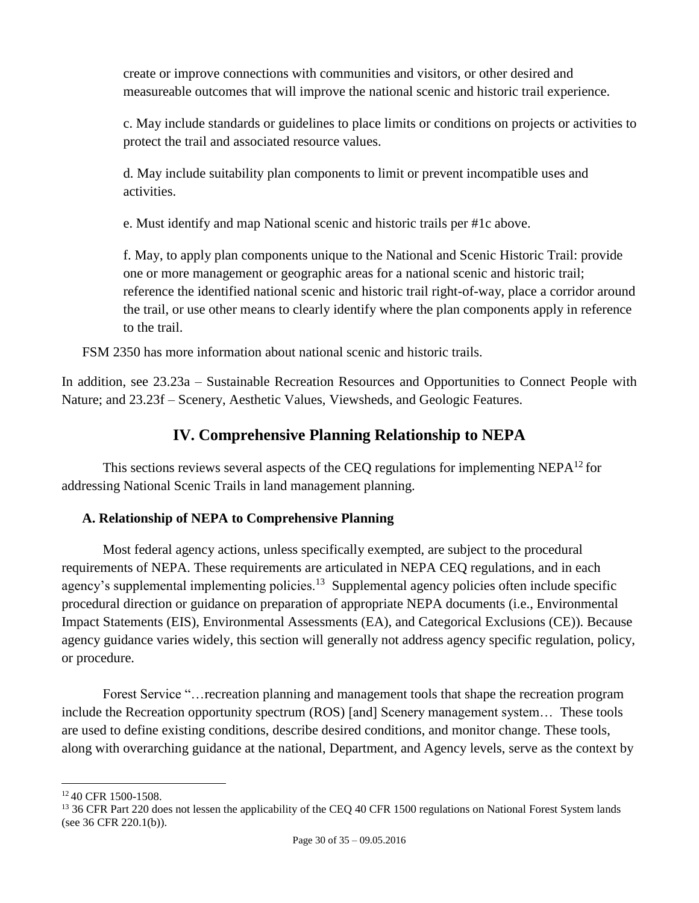create or improve connections with communities and visitors, or other desired and measureable outcomes that will improve the national scenic and historic trail experience.

c. May include standards or guidelines to place limits or conditions on projects or activities to protect the trail and associated resource values.

d. May include suitability plan components to limit or prevent incompatible uses and activities.

e. Must identify and map National scenic and historic trails per #1c above.

f. May, to apply plan components unique to the National and Scenic Historic Trail: provide one or more management or geographic areas for a national scenic and historic trail; reference the identified national scenic and historic trail right-of-way, place a corridor around the trail, or use other means to clearly identify where the plan components apply in reference to the trail.

FSM 2350 has more information about national scenic and historic trails.

In addition, see 23.23a – Sustainable Recreation Resources and Opportunities to Connect People with Nature; and 23.23f – Scenery, Aesthetic Values, Viewsheds, and Geologic Features.

## **IV. Comprehensive Planning Relationship to NEPA**

<span id="page-29-0"></span>This sections reviews several aspects of the CEQ regulations for implementing NEPA $^{12}$  for addressing National Scenic Trails in land management planning.

## <span id="page-29-1"></span>**A. Relationship of NEPA to Comprehensive Planning**

Most federal agency actions, unless specifically exempted, are subject to the procedural requirements of NEPA. These requirements are articulated in NEPA CEQ regulations, and in each agency's supplemental implementing policies.<sup>13</sup> Supplemental agency policies often include specific procedural direction or guidance on preparation of appropriate NEPA documents (i.e., Environmental Impact Statements (EIS), Environmental Assessments (EA), and Categorical Exclusions (CE)). Because agency guidance varies widely, this section will generally not address agency specific regulation, policy, or procedure.

Forest Service "…recreation planning and management tools that shape the recreation program include the Recreation opportunity spectrum (ROS) [and] Scenery management system… These tools are used to define existing conditions, describe desired conditions, and monitor change. These tools, along with overarching guidance at the national, Department, and Agency levels, serve as the context by

 $\overline{a}$ <sup>12</sup> 40 CFR 1500-1508.

<sup>&</sup>lt;sup>13</sup> 36 CFR Part 220 does not lessen the applicability of the CEQ 40 CFR 1500 regulations on National Forest System lands (see 36 CFR 220.1(b)).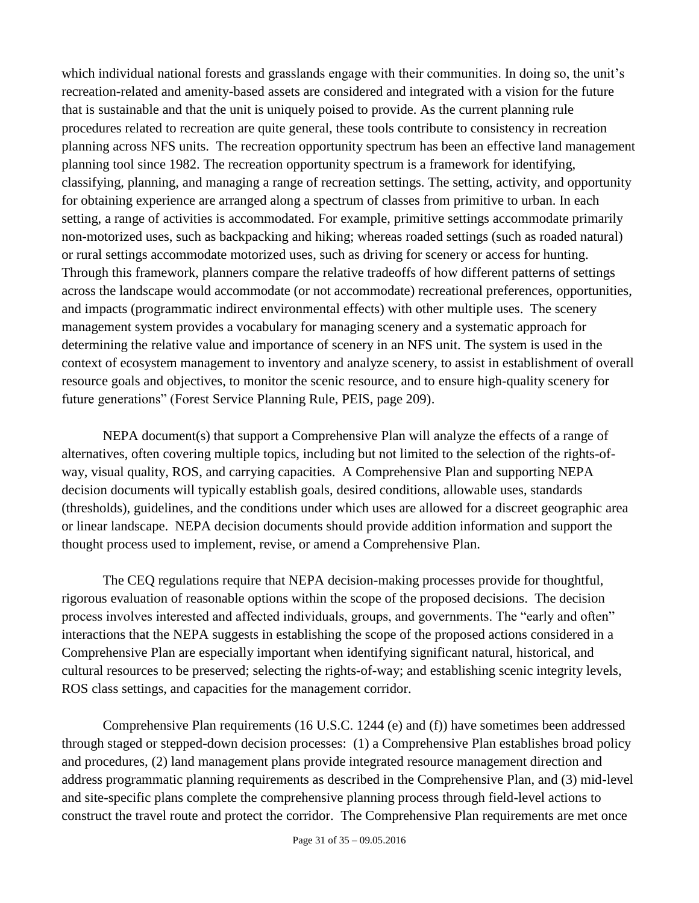which individual national forests and grasslands engage with their communities. In doing so, the unit's recreation-related and amenity-based assets are considered and integrated with a vision for the future that is sustainable and that the unit is uniquely poised to provide. As the current planning rule procedures related to recreation are quite general, these tools contribute to consistency in recreation planning across NFS units. The recreation opportunity spectrum has been an effective land management planning tool since 1982. The recreation opportunity spectrum is a framework for identifying, classifying, planning, and managing a range of recreation settings. The setting, activity, and opportunity for obtaining experience are arranged along a spectrum of classes from primitive to urban. In each setting, a range of activities is accommodated. For example, primitive settings accommodate primarily non-motorized uses, such as backpacking and hiking; whereas roaded settings (such as roaded natural) or rural settings accommodate motorized uses, such as driving for scenery or access for hunting. Through this framework, planners compare the relative tradeoffs of how different patterns of settings across the landscape would accommodate (or not accommodate) recreational preferences, opportunities, and impacts (programmatic indirect environmental effects) with other multiple uses. The scenery management system provides a vocabulary for managing scenery and a systematic approach for determining the relative value and importance of scenery in an NFS unit. The system is used in the context of ecosystem management to inventory and analyze scenery, to assist in establishment of overall resource goals and objectives, to monitor the scenic resource, and to ensure high-quality scenery for future generations" (Forest Service Planning Rule, PEIS, page 209).

NEPA document(s) that support a Comprehensive Plan will analyze the effects of a range of alternatives, often covering multiple topics, including but not limited to the selection of the rights-ofway, visual quality, ROS, and carrying capacities. A Comprehensive Plan and supporting NEPA decision documents will typically establish goals, desired conditions, allowable uses, standards (thresholds), guidelines, and the conditions under which uses are allowed for a discreet geographic area or linear landscape. NEPA decision documents should provide addition information and support the thought process used to implement, revise, or amend a Comprehensive Plan.

The CEQ regulations require that NEPA decision-making processes provide for thoughtful, rigorous evaluation of reasonable options within the scope of the proposed decisions. The decision process involves interested and affected individuals, groups, and governments. The "early and often" interactions that the NEPA suggests in establishing the scope of the proposed actions considered in a Comprehensive Plan are especially important when identifying significant natural, historical, and cultural resources to be preserved; selecting the rights-of-way; and establishing scenic integrity levels, ROS class settings, and capacities for the management corridor.

Comprehensive Plan requirements (16 U.S.C. 1244 (e) and (f)) have sometimes been addressed through staged or stepped-down decision processes: (1) a Comprehensive Plan establishes broad policy and procedures, (2) land management plans provide integrated resource management direction and address programmatic planning requirements as described in the Comprehensive Plan, and (3) mid-level and site-specific plans complete the comprehensive planning process through field-level actions to construct the travel route and protect the corridor. The Comprehensive Plan requirements are met once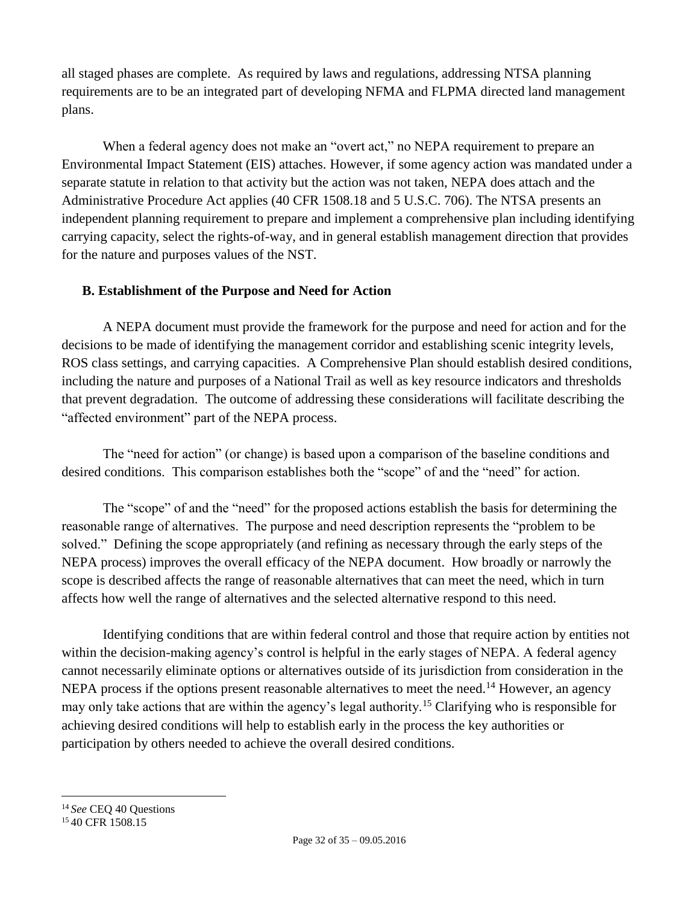all staged phases are complete. As required by laws and regulations, addressing NTSA planning requirements are to be an integrated part of developing NFMA and FLPMA directed land management plans.

When a federal agency does not make an "overt act," no NEPA requirement to prepare an Environmental Impact Statement (EIS) attaches. However, if some agency action was mandated under a separate statute in relation to that activity but the action was not taken, NEPA does attach and the Administrative Procedure Act applies (40 CFR 1508.18 and 5 U.S.C. 706). The NTSA presents an independent planning requirement to prepare and implement a comprehensive plan including identifying carrying capacity, select the rights-of-way, and in general establish management direction that provides for the nature and purposes values of the NST.

## <span id="page-31-0"></span>**B. Establishment of the Purpose and Need for Action**

A NEPA document must provide the framework for the purpose and need for action and for the decisions to be made of identifying the management corridor and establishing scenic integrity levels, ROS class settings, and carrying capacities. A Comprehensive Plan should establish desired conditions, including the nature and purposes of a National Trail as well as key resource indicators and thresholds that prevent degradation. The outcome of addressing these considerations will facilitate describing the "affected environment" part of the NEPA process.

The "need for action" (or change) is based upon a comparison of the baseline conditions and desired conditions. This comparison establishes both the "scope" of and the "need" for action.

The "scope" of and the "need" for the proposed actions establish the basis for determining the reasonable range of alternatives. The purpose and need description represents the "problem to be solved." Defining the scope appropriately (and refining as necessary through the early steps of the NEPA process) improves the overall efficacy of the NEPA document. How broadly or narrowly the scope is described affects the range of reasonable alternatives that can meet the need, which in turn affects how well the range of alternatives and the selected alternative respond to this need.

Identifying conditions that are within federal control and those that require action by entities not within the decision-making agency's control is helpful in the early stages of NEPA. A federal agency cannot necessarily eliminate options or alternatives outside of its jurisdiction from consideration in the NEPA process if the options present reasonable alternatives to meet the need.<sup>14</sup> However, an agency may only take actions that are within the agency's legal authority.<sup>15</sup> Clarifying who is responsible for achieving desired conditions will help to establish early in the process the key authorities or participation by others needed to achieve the overall desired conditions.

 $\overline{a}$ <sup>14</sup> *See* CEQ 40 Questions

<sup>&</sup>lt;sup>15</sup> 40 CFR 1508.15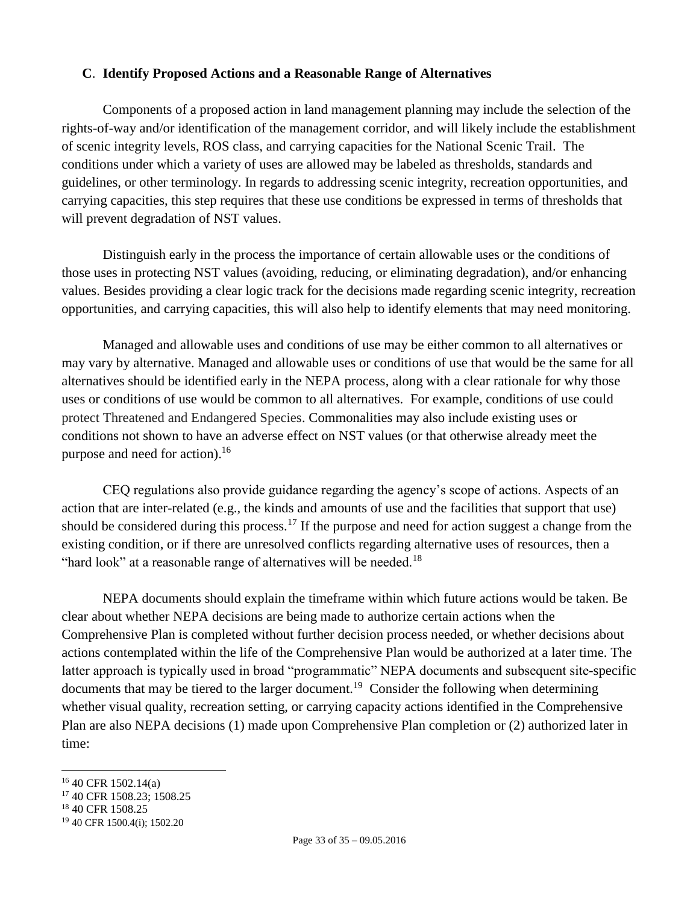#### <span id="page-32-0"></span>**C**. **Identify Proposed Actions and a Reasonable Range of Alternatives**

Components of a proposed action in land management planning may include the selection of the rights-of-way and/or identification of the management corridor, and will likely include the establishment of scenic integrity levels, ROS class, and carrying capacities for the National Scenic Trail. The conditions under which a variety of uses are allowed may be labeled as thresholds, standards and guidelines, or other terminology. In regards to addressing scenic integrity, recreation opportunities, and carrying capacities, this step requires that these use conditions be expressed in terms of thresholds that will prevent degradation of NST values.

Distinguish early in the process the importance of certain allowable uses or the conditions of those uses in protecting NST values (avoiding, reducing, or eliminating degradation), and/or enhancing values. Besides providing a clear logic track for the decisions made regarding scenic integrity, recreation opportunities, and carrying capacities, this will also help to identify elements that may need monitoring.

Managed and allowable uses and conditions of use may be either common to all alternatives or may vary by alternative. Managed and allowable uses or conditions of use that would be the same for all alternatives should be identified early in the NEPA process, along with a clear rationale for why those uses or conditions of use would be common to all alternatives. For example, conditions of use could protect Threatened and Endangered Species. Commonalities may also include existing uses or conditions not shown to have an adverse effect on NST values (or that otherwise already meet the purpose and need for action). 16

CEQ regulations also provide guidance regarding the agency's scope of actions. Aspects of an action that are inter-related (e.g., the kinds and amounts of use and the facilities that support that use) should be considered during this process.<sup>17</sup> If the purpose and need for action suggest a change from the existing condition, or if there are unresolved conflicts regarding alternative uses of resources, then a "hard look" at a reasonable range of alternatives will be needed.<sup>18</sup>

NEPA documents should explain the timeframe within which future actions would be taken. Be clear about whether NEPA decisions are being made to authorize certain actions when the Comprehensive Plan is completed without further decision process needed, or whether decisions about actions contemplated within the life of the Comprehensive Plan would be authorized at a later time. The latter approach is typically used in broad "programmatic" NEPA documents and subsequent site-specific documents that may be tiered to the larger document.<sup>19</sup> Consider the following when determining whether visual quality, recreation setting, or carrying capacity actions identified in the Comprehensive Plan are also NEPA decisions (1) made upon Comprehensive Plan completion or (2) authorized later in time:

- <sup>17</sup> 40 CFR 1508.23; 1508.25
- <sup>18</sup> 40 CFR 1508.25

 $\overline{a}$ 

<sup>16</sup> 40 CFR 1502.14(a)

<sup>19</sup> 40 CFR 1500.4(i); 1502.20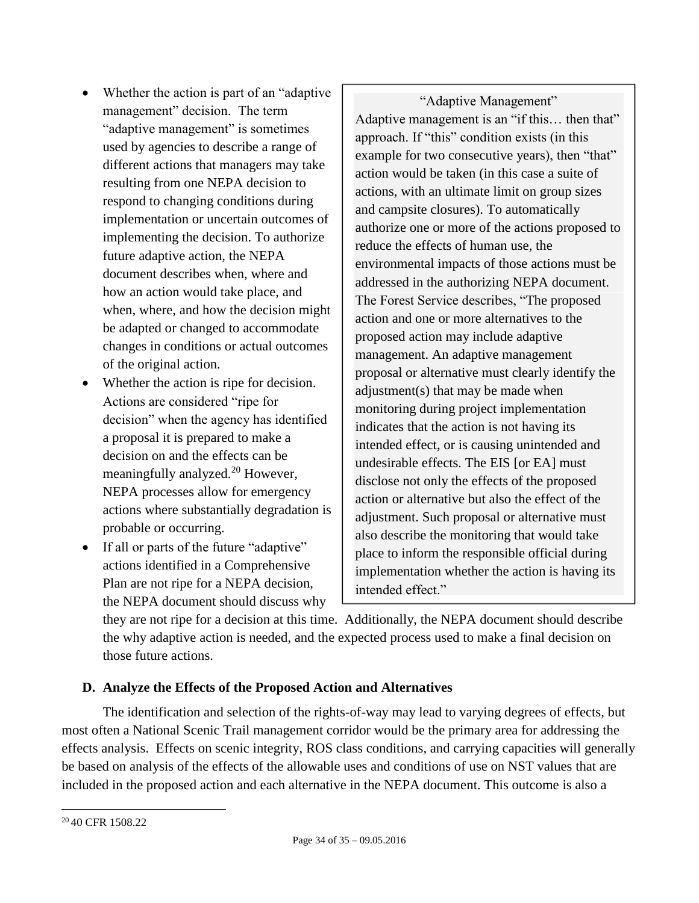- Whether the action is part of an "adaptive management" decision. The term "adaptive management" is sometimes used by agencies to describe a range of different actions that managers may take resulting from one NEPA decision to respond to changing conditions during implementation or uncertain outcomes of implementing the decision. To authorize future adaptive action, the NEPA document describes when, where and how an action would take place, and when, where, and how the decision might be adapted or changed to accommodate changes in conditions or actual outcomes of the original action.
- Whether the action is ripe for decision. Actions are considered "ripe for decision" when the agency has identified a proposal it is prepared to make a decision on and the effects can be meaningfully analyzed.<sup>20</sup> However, NEPA processes allow for emergency actions where substantially degradation is probable or occurring.
- If all or parts of the future "adaptive" actions identified in a Comprehensive Plan are not ripe for a NEPA decision, the NEPA document should discuss why

"Adaptive Management" Adaptive management is an "if this… then that" approach. If "this" condition exists (in this example for two consecutive years), then "that" action would be taken (in this case a suite of actions, with an ultimate limit on group sizes and campsite closures). To automatically authorize one or more of the actions proposed to reduce the effects of human use, the environmental impacts of those actions must be addressed in the authorizing NEPA document. The Forest Service describes, "The proposed action and one or more alternatives to the proposed action may include adaptive management. An adaptive management proposal or alternative must clearly identify the adjustment(s) that may be made when monitoring during project implementation indicates that the action is not having its intended effect, or is causing unintended and undesirable effects. The EIS [or EA] must disclose not only the effects of the proposed action or alternative but also the effect of the adjustment. Such proposal or alternative must also describe the monitoring that would take place to inform the responsible official during implementation whether the action is having its intended effect."

they are not ripe for a decision at this time. Additionally, the NEPA document should describe the why adaptive action is needed, and the expected process used to make a final decision on those future actions.

## <span id="page-33-0"></span>**D. Analyze the Effects of the Proposed Action and Alternatives**

The identification and selection of the rights-of-way may lead to varying degrees of effects, but most often a National Scenic Trail management corridor would be the primary area for addressing the effects analysis. Effects on scenic integrity, ROS class conditions, and carrying capacities will generally be based on analysis of the effects of the allowable uses and conditions of use on NST values that are included in the proposed action and each alternative in the NEPA document. This outcome is also a

 $\overline{a}$ <sup>20</sup> 40 CFR 1508.22